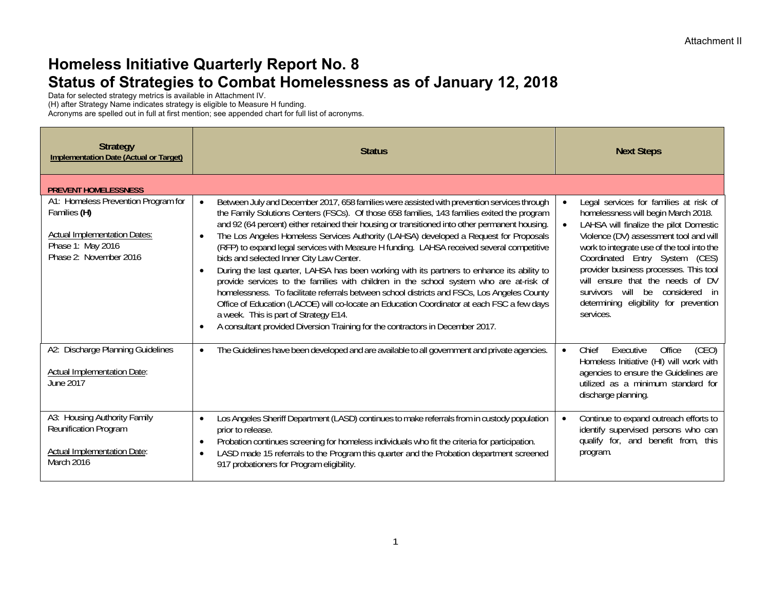## **Homeless Initiative Quarterly Report No. 8 Status of Strategies to Combat Homelessness as of January 12, 2018**

Data for selected strategy metrics is available in Attachment IV.

(H) after Strategy Name indicates strategy is eligible to Measure H funding.

Acronyms are spelled out in full at first mention; see appended chart for full list of acronyms.

| <b>Strategy</b><br><b>Implementation Date (Actual or Target)</b>                                                                          | <b>Status</b>                                                                                                                                                                                                                                                                                                                                                                                                                                                                                                                                                                                                                                                                                                                                                                                                                                                                                                                                                                                                                                                 | <b>Next Steps</b>                                                                                                                                                                                                                                                                                                                                                                                                                      |
|-------------------------------------------------------------------------------------------------------------------------------------------|---------------------------------------------------------------------------------------------------------------------------------------------------------------------------------------------------------------------------------------------------------------------------------------------------------------------------------------------------------------------------------------------------------------------------------------------------------------------------------------------------------------------------------------------------------------------------------------------------------------------------------------------------------------------------------------------------------------------------------------------------------------------------------------------------------------------------------------------------------------------------------------------------------------------------------------------------------------------------------------------------------------------------------------------------------------|----------------------------------------------------------------------------------------------------------------------------------------------------------------------------------------------------------------------------------------------------------------------------------------------------------------------------------------------------------------------------------------------------------------------------------------|
| <b>PREVENT HOMELESSNESS</b>                                                                                                               |                                                                                                                                                                                                                                                                                                                                                                                                                                                                                                                                                                                                                                                                                                                                                                                                                                                                                                                                                                                                                                                               |                                                                                                                                                                                                                                                                                                                                                                                                                                        |
| A1: Homeless Prevention Program for<br>Families (H)<br><b>Actual Implementation Dates:</b><br>Phase 1: May 2016<br>Phase 2: November 2016 | Between July and December 2017, 658 families were assisted with prevention services through<br>the Family Solutions Centers (FSCs). Of those 658 families, 143 families exited the program<br>and 92 (64 percent) either retained their housing or transitioned into other permanent housing.<br>The Los Angeles Homeless Services Authority (LAHSA) developed a Request for Proposals<br>(RFP) to expand legal services with Measure H funding. LAHSA received several competitive<br>bids and selected Inner City Law Center.<br>During the last quarter, LAHSA has been working with its partners to enhance its ability to<br>provide services to the families with children in the school system who are at-risk of<br>homelessness. To facilitate referrals between school districts and FSCs, Los Angeles County<br>Office of Education (LACOE) will co-locate an Education Coordinator at each FSC a few days<br>a week. This is part of Strategy E14.<br>A consultant provided Diversion Training for the contractors in December 2017.<br>$\bullet$ | Legal services for families at risk of<br>$\bullet$<br>homelessness will begin March 2018.<br>LAHSA will finalize the pilot Domestic<br>Violence (DV) assessment tool and will<br>work to integrate use of the tool into the<br>Coordinated Entry System (CES)<br>provider business processes. This tool<br>will ensure that the needs of DV<br>survivors will be considered in<br>determining eligibility for prevention<br>services. |
| A2: Discharge Planning Guidelines<br><b>Actual Implementation Date:</b><br>June 2017                                                      | The Guidelines have been developed and are available to all government and private agencies.                                                                                                                                                                                                                                                                                                                                                                                                                                                                                                                                                                                                                                                                                                                                                                                                                                                                                                                                                                  | Office<br>Chief<br>Executive<br>(CEO)<br>$\bullet$<br>Homeless Initiative (HI) will work with<br>agencies to ensure the Guidelines are<br>utilized as a minimum standard for<br>discharge planning.                                                                                                                                                                                                                                    |
| A3: Housing Authority Family<br>Reunification Program<br><b>Actual Implementation Date:</b><br>March 2016                                 | Los Angeles Sheriff Department (LASD) continues to make referrals from in custody population<br>$\bullet$<br>prior to release.<br>Probation continues screening for homeless individuals who fit the criteria for participation.<br>$\bullet$<br>LASD made 15 referrals to the Program this quarter and the Probation department screened<br>$\bullet$<br>917 probationers for Program eligibility.                                                                                                                                                                                                                                                                                                                                                                                                                                                                                                                                                                                                                                                           | Continue to expand outreach efforts to<br>$\bullet$<br>identify supervised persons who can<br>qualify for, and benefit from, this<br>program.                                                                                                                                                                                                                                                                                          |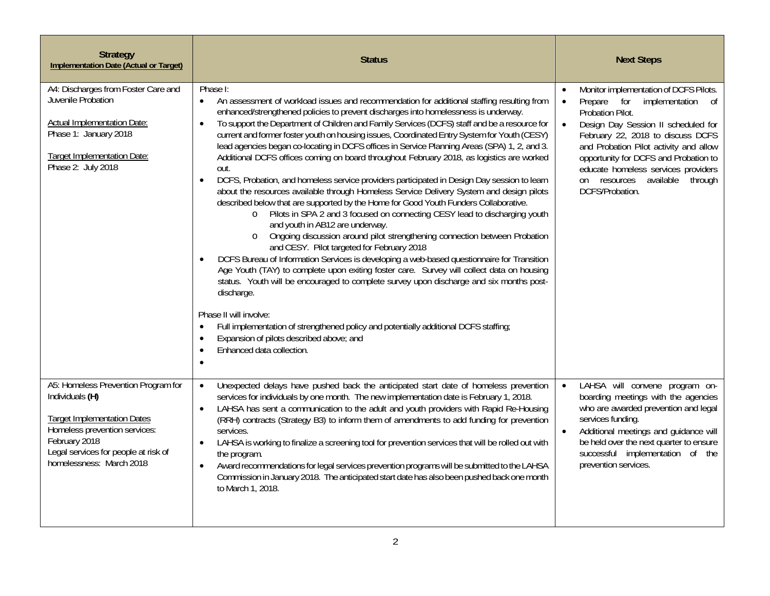| <b>Strategy</b><br><b>Implementation Date (Actual or Target)</b>                                                                                                                                                   | <b>Status</b>                                                                                                                                                                                                                                                                                                                                                                                                                                                                                                                                                                                                                                                                                                                                                                                                                                                                                                                                                                                                                                                                                                                                                                                                                                                                                                                                                                                                                                                                                                                                                                                                                                                                                                                                 | <b>Next Steps</b>                                                                                                                                                                                                                                                                                                                                                                                      |
|--------------------------------------------------------------------------------------------------------------------------------------------------------------------------------------------------------------------|-----------------------------------------------------------------------------------------------------------------------------------------------------------------------------------------------------------------------------------------------------------------------------------------------------------------------------------------------------------------------------------------------------------------------------------------------------------------------------------------------------------------------------------------------------------------------------------------------------------------------------------------------------------------------------------------------------------------------------------------------------------------------------------------------------------------------------------------------------------------------------------------------------------------------------------------------------------------------------------------------------------------------------------------------------------------------------------------------------------------------------------------------------------------------------------------------------------------------------------------------------------------------------------------------------------------------------------------------------------------------------------------------------------------------------------------------------------------------------------------------------------------------------------------------------------------------------------------------------------------------------------------------------------------------------------------------------------------------------------------------|--------------------------------------------------------------------------------------------------------------------------------------------------------------------------------------------------------------------------------------------------------------------------------------------------------------------------------------------------------------------------------------------------------|
| A4: Discharges from Foster Care and<br>Juvenile Probation<br><b>Actual Implementation Date:</b><br>Phase 1: January 2018<br>Target Implementation Date:<br>Phase 2: July 2018                                      | Phase I:<br>An assessment of workload issues and recommendation for additional staffing resulting from<br>$\bullet$<br>enhanced/strengthened policies to prevent discharges into homelessness is underway.<br>To support the Department of Children and Family Services (DCFS) staff and be a resource for<br>$\bullet$<br>current and former foster youth on housing issues, Coordinated Entry System for Youth (CESY)<br>lead agencies began co-locating in DCFS offices in Service Planning Areas (SPA) 1, 2, and 3.<br>Additional DCFS offices coming on board throughout February 2018, as logistics are worked<br>out.<br>DCFS, Probation, and homeless service providers participated in Design Day session to learn<br>$\bullet$<br>about the resources available through Homeless Service Delivery System and design pilots<br>described below that are supported by the Home for Good Youth Funders Collaborative.<br>o Pilots in SPA 2 and 3 focused on connecting CESY lead to discharging youth<br>and youth in AB12 are underway.<br>o Ongoing discussion around pilot strengthening connection between Probation<br>and CESY. Pilot targeted for February 2018<br>DCFS Bureau of Information Services is developing a web-based questionnaire for Transition<br>$\bullet$<br>Age Youth (TAY) to complete upon exiting foster care. Survey will collect data on housing<br>status. Youth will be encouraged to complete survey upon discharge and six months post-<br>discharge.<br>Phase II will involve:<br>Full implementation of strengthened policy and potentially additional DCFS staffing;<br>$\bullet$<br>Expansion of pilots described above; and<br>$\bullet$<br>Enhanced data collection.<br>$\bullet$<br>$\bullet$ | Monitor implementation of DCFS Pilots.<br>$\bullet$<br>Prepare for<br>implementation<br>of<br>$\bullet$<br>Probation Pilot.<br>Design Day Session II scheduled for<br>$\bullet$<br>February 22, 2018 to discuss DCFS<br>and Probation Pilot activity and allow<br>opportunity for DCFS and Probation to<br>educate homeless services providers<br>on resources available<br>through<br>DCFS/Probation. |
| A5: Homeless Prevention Program for<br>Individuals (H)<br><b>Target Implementation Dates</b><br>Homeless prevention services:<br>February 2018<br>Legal services for people at risk of<br>homelessness: March 2018 | Unexpected delays have pushed back the anticipated start date of homeless prevention<br>$\bullet$<br>services for individuals by one month. The new implementation date is February 1, 2018.<br>LAHSA has sent a communication to the adult and youth providers with Rapid Re-Housing<br>$\bullet$<br>(RRH) contracts (Strategy B3) to inform them of amendments to add funding for prevention<br>services.<br>LAHSA is working to finalize a screening tool for prevention services that will be rolled out with<br>$\bullet$<br>the program.<br>Award recommendations for legal services prevention programs will be submitted to the LAHSA<br>$\bullet$<br>Commission in January 2018. The anticipated start date has also been pushed back one month<br>to March 1, 2018.                                                                                                                                                                                                                                                                                                                                                                                                                                                                                                                                                                                                                                                                                                                                                                                                                                                                                                                                                                 | LAHSA will convene program on-<br>boarding meetings with the agencies<br>who are awarded prevention and legal<br>services funding.<br>Additional meetings and guidance will<br>be held over the next quarter to ensure<br>successful implementation of the<br>prevention services.                                                                                                                     |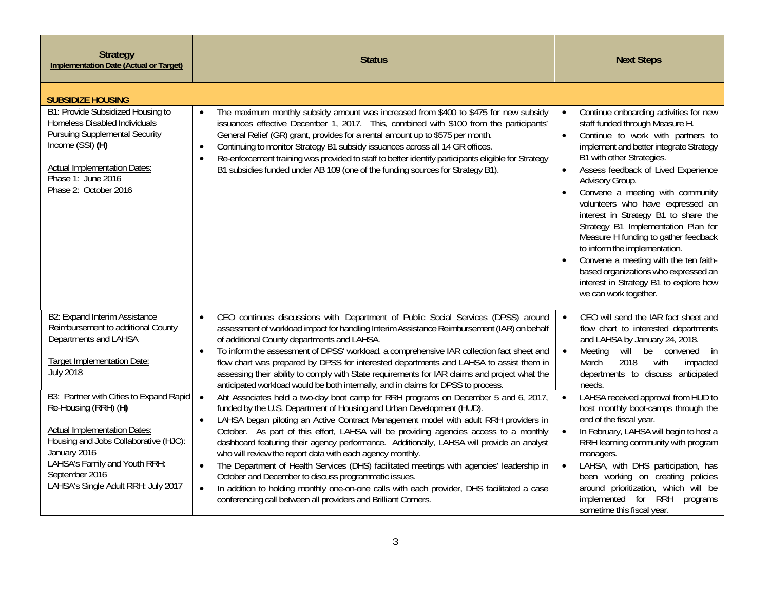| <b>Strategy</b><br><b>Implementation Date (Actual or Target)</b>                                                                                                                                                                                          | <b>Status</b>                                                                                                                                                                                                                                                                                                                                                                                                                                                                                                                                                                                                                                                                                                                                                                                                                                                                    | <b>Next Steps</b>                                                                                                                                                                                                                                                                                                                                                                                                                                                                                                                                                                                                                                                           |
|-----------------------------------------------------------------------------------------------------------------------------------------------------------------------------------------------------------------------------------------------------------|----------------------------------------------------------------------------------------------------------------------------------------------------------------------------------------------------------------------------------------------------------------------------------------------------------------------------------------------------------------------------------------------------------------------------------------------------------------------------------------------------------------------------------------------------------------------------------------------------------------------------------------------------------------------------------------------------------------------------------------------------------------------------------------------------------------------------------------------------------------------------------|-----------------------------------------------------------------------------------------------------------------------------------------------------------------------------------------------------------------------------------------------------------------------------------------------------------------------------------------------------------------------------------------------------------------------------------------------------------------------------------------------------------------------------------------------------------------------------------------------------------------------------------------------------------------------------|
| <b>SUBSIDIZE HOUSING</b>                                                                                                                                                                                                                                  |                                                                                                                                                                                                                                                                                                                                                                                                                                                                                                                                                                                                                                                                                                                                                                                                                                                                                  |                                                                                                                                                                                                                                                                                                                                                                                                                                                                                                                                                                                                                                                                             |
| B1: Provide Subsidized Housing to<br>Homeless Disabled Individuals<br><b>Pursuing Supplemental Security</b><br>Income (SSI) (H)<br><b>Actual Implementation Dates:</b><br>Phase 1: June 2016<br>Phase 2: October 2016                                     | The maximum monthly subsidy amount was increased from \$400 to \$475 for new subsidy<br>$\bullet$<br>issuances effective December 1, 2017. This, combined with \$100 from the participants'<br>General Relief (GR) grant, provides for a rental amount up to \$575 per month.<br>Continuing to monitor Strategy B1 subsidy issuances across all 14 GR offices.<br>$\bullet$<br>Re-enforcement training was provided to staff to better identify participants eligible for Strategy<br>$\bullet$<br>B1 subsidies funded under AB 109 (one of the funding sources for Strategy B1).                                                                                                                                                                                                                                                                                                | Continue onboarding activities for new<br>$\bullet$<br>staff funded through Measure H.<br>Continue to work with partners to<br>$\bullet$<br>implement and better integrate Strategy<br>B1 with other Strategies.<br>Assess feedback of Lived Experience<br>$\bullet$<br>Advisory Group.<br>Convene a meeting with community<br>volunteers who have expressed an<br>interest in Strategy B1 to share the<br>Strategy B1 Implementation Plan for<br>Measure H funding to gather feedback<br>to inform the implementation.<br>Convene a meeting with the ten faith-<br>based organizations who expressed an<br>interest in Strategy B1 to explore how<br>we can work together. |
| B2: Expand Interim Assistance<br>Reimbursement to additional County<br>Departments and LAHSA<br><b>Target Implementation Date:</b><br><b>July 2018</b>                                                                                                    | CEO continues discussions with Department of Public Social Services (DPSS) around<br>$\bullet$<br>assessment of workload impact for handling Interim Assistance Reimbursement (IAR) on behalf<br>of additional County departments and LAHSA.<br>To inform the assessment of DPSS' workload, a comprehensive IAR collection fact sheet and<br>$\bullet$<br>flow chart was prepared by DPSS for interested departments and LAHSA to assist them in<br>assessing their ability to comply with State requirements for IAR claims and project what the<br>anticipated workload would be both internally, and in claims for DPSS to process.                                                                                                                                                                                                                                           | CEO will send the IAR fact sheet and<br>$\bullet$<br>flow chart to interested departments<br>and LAHSA by January 24, 2018.<br>Meeting will be convened<br>$\bullet$<br>in<br>2018<br>with<br>March<br>impacted<br>departments to discuss anticipated<br>needs.                                                                                                                                                                                                                                                                                                                                                                                                             |
| B3: Partner with Cities to Expand Rapid<br>Re-Housing (RRH) (H)<br><b>Actual Implementation Dates:</b><br>Housing and Jobs Collaborative (HJC):<br>January 2016<br>LAHSA's Family and Youth RRH:<br>September 2016<br>LAHSA's Single Adult RRH: July 2017 | Abt Associates held a two-day boot camp for RRH programs on December 5 and 6, 2017,<br>$\bullet$<br>funded by the U.S. Department of Housing and Urban Development (HUD).<br>LAHSA began piloting an Active Contract Management model with adult RRH providers in<br>$\bullet$<br>October. As part of this effort, LAHSA will be providing agencies access to a monthly<br>dashboard featuring their agency performance. Additionally, LAHSA will provide an analyst<br>who will review the report data with each agency monthly.<br>The Department of Health Services (DHS) facilitated meetings with agencies' leadership in<br>$\bullet$<br>October and December to discuss programmatic issues.<br>In addition to holding monthly one-on-one calls with each provider, DHS facilitated a case<br>$\bullet$<br>conferencing call between all providers and Brilliant Corners. | LAHSA received approval from HUD to<br>$\bullet$<br>host monthly boot-camps through the<br>end of the fiscal year.<br>In February, LAHSA will begin to host a<br>RRH learning community with program<br>managers.<br>LAHSA, with DHS participation, has<br>$\bullet$<br>been working on creating policies<br>around prioritization, which will be<br>implemented for RRH<br>programs<br>sometime this fiscal year.                                                                                                                                                                                                                                                          |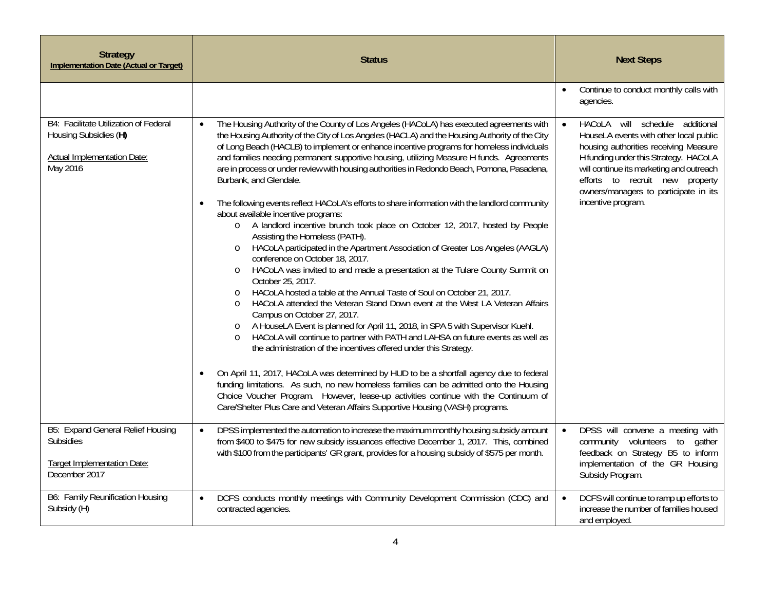| <b>Strategy</b><br><b>Implementation Date (Actual or Target)</b>                                                 | <b>Status</b>                                                                                                                                                                                                                                                                                                                                                                                                                                                                                                                                                                                                                                                                                                                                                                                                                                                                                                                                                                                                                                                                                                                                                                                                                                                                                                                                                                                                                                                                                                                                                                                                                                                                                                                                                                                                                                                                                       | <b>Next Steps</b>                                                                                                                                                                                                                                                                                         |
|------------------------------------------------------------------------------------------------------------------|-----------------------------------------------------------------------------------------------------------------------------------------------------------------------------------------------------------------------------------------------------------------------------------------------------------------------------------------------------------------------------------------------------------------------------------------------------------------------------------------------------------------------------------------------------------------------------------------------------------------------------------------------------------------------------------------------------------------------------------------------------------------------------------------------------------------------------------------------------------------------------------------------------------------------------------------------------------------------------------------------------------------------------------------------------------------------------------------------------------------------------------------------------------------------------------------------------------------------------------------------------------------------------------------------------------------------------------------------------------------------------------------------------------------------------------------------------------------------------------------------------------------------------------------------------------------------------------------------------------------------------------------------------------------------------------------------------------------------------------------------------------------------------------------------------------------------------------------------------------------------------------------------------|-----------------------------------------------------------------------------------------------------------------------------------------------------------------------------------------------------------------------------------------------------------------------------------------------------------|
|                                                                                                                  |                                                                                                                                                                                                                                                                                                                                                                                                                                                                                                                                                                                                                                                                                                                                                                                                                                                                                                                                                                                                                                                                                                                                                                                                                                                                                                                                                                                                                                                                                                                                                                                                                                                                                                                                                                                                                                                                                                     | Continue to conduct monthly calls with<br>$\bullet$<br>agencies.                                                                                                                                                                                                                                          |
| B4: Facilitate Utilization of Federal<br>Housing Subsidies (H)<br><b>Actual Implementation Date:</b><br>May 2016 | The Housing Authority of the County of Los Angeles (HACoLA) has executed agreements with<br>$\bullet$<br>the Housing Authority of the City of Los Angeles (HACLA) and the Housing Authority of the City<br>of Long Beach (HACLB) to implement or enhance incentive programs for homeless individuals<br>and families needing permanent supportive housing, utilizing Measure H funds. Agreements<br>are in process or under review with housing authorities in Redondo Beach, Pomona, Pasadena,<br>Burbank, and Glendale.<br>The following events reflect HACoLA's efforts to share information with the landlord community<br>$\bullet$<br>about available incentive programs:<br>o A landlord incentive brunch took place on October 12, 2017, hosted by People<br>Assisting the Homeless (PATH).<br>HACoLA participated in the Apartment Association of Greater Los Angeles (AAGLA)<br>$\circ$<br>conference on October 18, 2017.<br>HACoLA was invited to and made a presentation at the Tulare County Summit on<br>$\circ$<br>October 25, 2017.<br>HACoLA hosted a table at the Annual Taste of Soul on October 21, 2017.<br>$\circ$<br>HACoLA attended the Veteran Stand Down event at the West LA Veteran Affairs<br>$\circ$<br>Campus on October 27, 2017.<br>A HouseLA Event is planned for April 11, 2018, in SPA 5 with Supervisor Kuehl.<br>$\circ$<br>HACoLA will continue to partner with PATH and LAHSA on future events as well as<br>the administration of the incentives offered under this Strategy.<br>On April 11, 2017, HACoLA was determined by HUD to be a shortfall agency due to federal<br>$\bullet$<br>funding limitations. As such, no new homeless families can be admitted onto the Housing<br>Choice Voucher Program. However, lease-up activities continue with the Continuum of<br>Care/Shelter Plus Care and Veteran Affairs Supportive Housing (VASH) programs. | HACoLA will schedule additional<br>HouseLA events with other local public<br>housing authorities receiving Measure<br>H funding under this Strategy. HACoLA<br>will continue its marketing and outreach<br>efforts to recruit new property<br>owners/managers to participate in its<br>incentive program. |
| <b>B5: Expand General Relief Housing</b><br><b>Subsidies</b><br>Target Implementation Date:<br>December 2017     | DPSS implemented the automation to increase the maximum monthly housing subsidy amount<br>$\bullet$<br>from \$400 to \$475 for new subsidy issuances effective December 1, 2017. This, combined<br>with \$100 from the participants' GR grant, provides for a housing subsidy of \$575 per month.                                                                                                                                                                                                                                                                                                                                                                                                                                                                                                                                                                                                                                                                                                                                                                                                                                                                                                                                                                                                                                                                                                                                                                                                                                                                                                                                                                                                                                                                                                                                                                                                   | DPSS will convene a meeting with<br>$\bullet$<br>community volunteers to<br>gather<br>feedback on Strategy B5 to inform<br>implementation of the GR Housing<br>Subsidy Program.                                                                                                                           |
| B6: Family Reunification Housing<br>Subsidy (H)                                                                  | DCFS conducts monthly meetings with Community Development Commission (CDC) and<br>$\bullet$<br>contracted agencies.                                                                                                                                                                                                                                                                                                                                                                                                                                                                                                                                                                                                                                                                                                                                                                                                                                                                                                                                                                                                                                                                                                                                                                                                                                                                                                                                                                                                                                                                                                                                                                                                                                                                                                                                                                                 | DCFS will continue to ramp up efforts to<br>$\bullet$<br>increase the number of families housed<br>and employed.                                                                                                                                                                                          |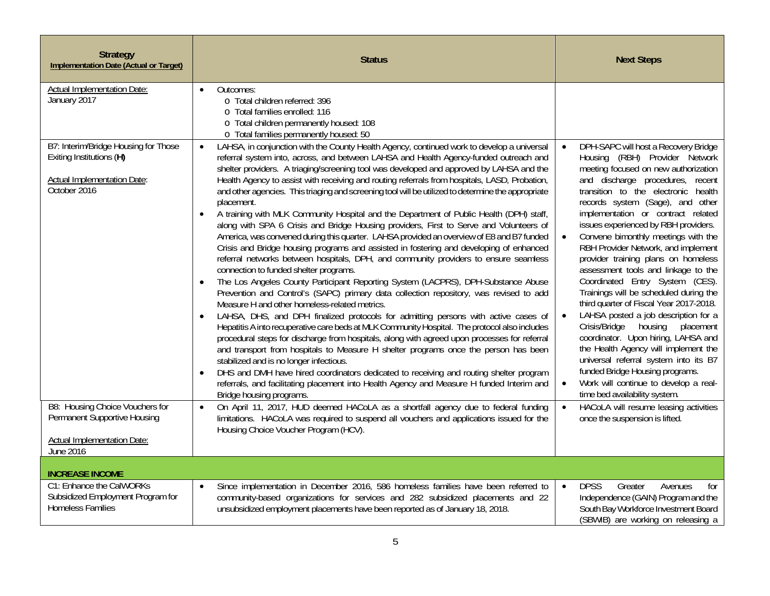| <b>Strategy</b><br><b>Implementation Date (Actual or Target)</b>                                                       | <b>Status</b>                                                                                                                                                                                                                                                                                                                                                                                                                                                                                                                                                                                                                                                                                                                                                                                                                                                                                                                                                                                                                                                                                                                                                                                                                                                                                                                                                                                                                                                                                                                                                                                                                                                                                                                                                                                                                                                                                                                                       | <b>Next Steps</b>                                                                                                                                                                                                                                                                                                                                                                                                                                                                                                                                                                                                                                                                                                                                                                                                                                                                                                                            |
|------------------------------------------------------------------------------------------------------------------------|-----------------------------------------------------------------------------------------------------------------------------------------------------------------------------------------------------------------------------------------------------------------------------------------------------------------------------------------------------------------------------------------------------------------------------------------------------------------------------------------------------------------------------------------------------------------------------------------------------------------------------------------------------------------------------------------------------------------------------------------------------------------------------------------------------------------------------------------------------------------------------------------------------------------------------------------------------------------------------------------------------------------------------------------------------------------------------------------------------------------------------------------------------------------------------------------------------------------------------------------------------------------------------------------------------------------------------------------------------------------------------------------------------------------------------------------------------------------------------------------------------------------------------------------------------------------------------------------------------------------------------------------------------------------------------------------------------------------------------------------------------------------------------------------------------------------------------------------------------------------------------------------------------------------------------------------------------|----------------------------------------------------------------------------------------------------------------------------------------------------------------------------------------------------------------------------------------------------------------------------------------------------------------------------------------------------------------------------------------------------------------------------------------------------------------------------------------------------------------------------------------------------------------------------------------------------------------------------------------------------------------------------------------------------------------------------------------------------------------------------------------------------------------------------------------------------------------------------------------------------------------------------------------------|
| <b>Actual Implementation Date:</b><br>January 2017                                                                     | Outcomes:<br>$\bullet$<br>o Total children referred: 396<br>o Total families enrolled: 116<br>o Total children permanently housed: 108<br>o Total families permanently housed: 50                                                                                                                                                                                                                                                                                                                                                                                                                                                                                                                                                                                                                                                                                                                                                                                                                                                                                                                                                                                                                                                                                                                                                                                                                                                                                                                                                                                                                                                                                                                                                                                                                                                                                                                                                                   |                                                                                                                                                                                                                                                                                                                                                                                                                                                                                                                                                                                                                                                                                                                                                                                                                                                                                                                                              |
| B7: Interim/Bridge Housing for Those<br>Exiting Institutions (H)<br><b>Actual Implementation Date:</b><br>October 2016 | LAHSA, in conjunction with the County Health Agency, continued work to develop a universal<br>$\bullet$<br>referral system into, across, and between LAHSA and Health Agency-funded outreach and<br>shelter providers. A triaging/screening tool was developed and approved by LAHSA and the<br>Health Agency to assist with receiving and routing referrals from hospitals, LASD, Probation,<br>and other agencies. This triaging and screening tool will be utilized to determine the appropriate<br>placement.<br>A training with MLK Community Hospital and the Department of Public Health (DPH) staff,<br>along with SPA 6 Crisis and Bridge Housing providers, First to Serve and Volunteers of<br>America, was convened during this quarter. LAHSA provided an overview of E8 and B7 funded<br>Crisis and Bridge housing programs and assisted in fostering and developing of enhanced<br>referral networks between hospitals, DPH, and community providers to ensure seamless<br>connection to funded shelter programs.<br>The Los Angeles County Participant Reporting System (LACPRS), DPH-Substance Abuse<br>$\bullet$<br>Prevention and Control's (SAPC) primary data collection repository, was revised to add<br>Measure H and other homeless-related metrics.<br>LAHSA, DHS, and DPH finalized protocols for admitting persons with active cases of<br>$\bullet$<br>Hepatitis A into recuperative care beds at MLK Community Hospital. The protocol also includes<br>procedural steps for discharge from hospitals, along with agreed upon processes for referral<br>and transport from hospitals to Measure H shelter programs once the person has been<br>stabilized and is no longer infectious.<br>DHS and DMH have hired coordinators dedicated to receiving and routing shelter program<br>$\bullet$<br>referrals, and facilitating placement into Health Agency and Measure H funded Interim and<br>Bridge housing programs. | DPH-SAPC will host a Recovery Bridge<br>$\bullet$<br>Housing (RBH) Provider Network<br>meeting focused on new authorization<br>and discharge procedures, recent<br>transition to the electronic health<br>records system (Sage), and other<br>implementation or contract related<br>issues experienced by RBH providers.<br>Convene bimonthly meetings with the<br>RBH Provider Network, and implement<br>provider training plans on homeless<br>assessment tools and linkage to the<br>Coordinated Entry System (CES).<br>Trainings will be scheduled during the<br>third quarter of Fiscal Year 2017-2018.<br>LAHSA posted a job description for a<br>Crisis/Bridge housing<br>placement<br>coordinator. Upon hiring, LAHSA and<br>the Health Agency will implement the<br>universal referral system into its B7<br>funded Bridge Housing programs.<br>Work will continue to develop a real-<br>$\bullet$<br>time bed availability system. |
| B8: Housing Choice Vouchers for<br>Permanent Supportive Housing<br><b>Actual Implementation Date:</b>                  | On April 11, 2017, HUD deemed HACoLA as a shortfall agency due to federal funding<br>$\bullet$<br>limitations. HACoLA was required to suspend all vouchers and applications issued for the<br>Housing Choice Voucher Program (HCV).                                                                                                                                                                                                                                                                                                                                                                                                                                                                                                                                                                                                                                                                                                                                                                                                                                                                                                                                                                                                                                                                                                                                                                                                                                                                                                                                                                                                                                                                                                                                                                                                                                                                                                                 | HACoLA will resume leasing activities<br>once the suspension is lifted.                                                                                                                                                                                                                                                                                                                                                                                                                                                                                                                                                                                                                                                                                                                                                                                                                                                                      |
| June 2016                                                                                                              |                                                                                                                                                                                                                                                                                                                                                                                                                                                                                                                                                                                                                                                                                                                                                                                                                                                                                                                                                                                                                                                                                                                                                                                                                                                                                                                                                                                                                                                                                                                                                                                                                                                                                                                                                                                                                                                                                                                                                     |                                                                                                                                                                                                                                                                                                                                                                                                                                                                                                                                                                                                                                                                                                                                                                                                                                                                                                                                              |
| <b>INCREASE INCOME</b><br>C1: Enhance the CalWORKs<br>Subsidized Employment Program for<br><b>Homeless Families</b>    | Since implementation in December 2016, 586 homeless families have been referred to<br>$\bullet$<br>community-based organizations for services and 282 subsidized placements and 22<br>unsubsidized employment placements have been reported as of January 18, 2018.                                                                                                                                                                                                                                                                                                                                                                                                                                                                                                                                                                                                                                                                                                                                                                                                                                                                                                                                                                                                                                                                                                                                                                                                                                                                                                                                                                                                                                                                                                                                                                                                                                                                                 | <b>DPSS</b><br>Greater<br>$\bullet$<br>Avenues<br>for<br>Independence (GAIN) Program and the<br>South Bay Workforce Investment Board                                                                                                                                                                                                                                                                                                                                                                                                                                                                                                                                                                                                                                                                                                                                                                                                         |
|                                                                                                                        |                                                                                                                                                                                                                                                                                                                                                                                                                                                                                                                                                                                                                                                                                                                                                                                                                                                                                                                                                                                                                                                                                                                                                                                                                                                                                                                                                                                                                                                                                                                                                                                                                                                                                                                                                                                                                                                                                                                                                     | (SBWIB) are working on releasing a                                                                                                                                                                                                                                                                                                                                                                                                                                                                                                                                                                                                                                                                                                                                                                                                                                                                                                           |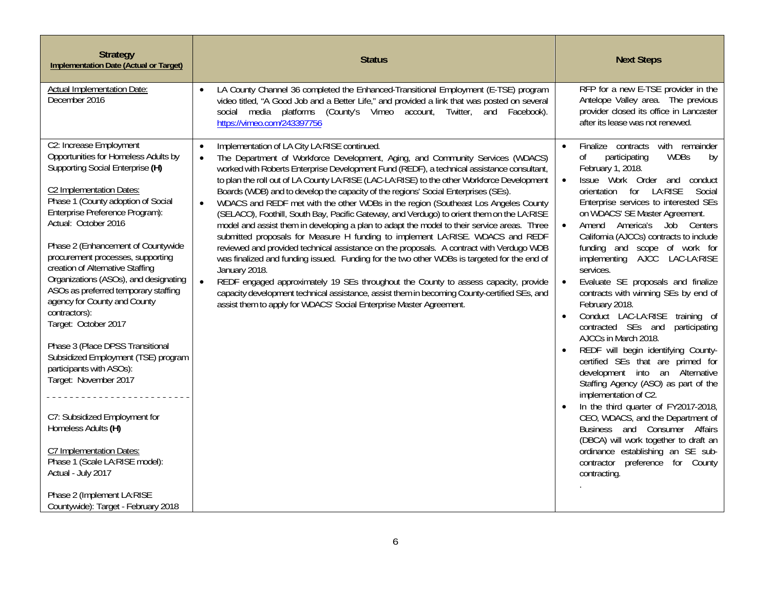| <b>Strategy</b><br><b>Implementation Date (Actual or Target)</b>                                                                                                                                                                                                                                                                                                                                                                                                                                                                                                                                                                                                                                                                                                                                                                                           | <b>Status</b>                                                                                                                                                                                                                                                                                                                                                                                                                                                                                                                                                                                                                                                                                                                                                                                                                                                                                                                                                                                                                                                                                                                                                                                                                                                                                          | <b>Next Steps</b>                                                                                                                                                                                                                                                                                                                                                                                                                                                                                                                                                                                                                                                                                                                                                                                                                                                                                                                                                                                                                                                                             |
|------------------------------------------------------------------------------------------------------------------------------------------------------------------------------------------------------------------------------------------------------------------------------------------------------------------------------------------------------------------------------------------------------------------------------------------------------------------------------------------------------------------------------------------------------------------------------------------------------------------------------------------------------------------------------------------------------------------------------------------------------------------------------------------------------------------------------------------------------------|--------------------------------------------------------------------------------------------------------------------------------------------------------------------------------------------------------------------------------------------------------------------------------------------------------------------------------------------------------------------------------------------------------------------------------------------------------------------------------------------------------------------------------------------------------------------------------------------------------------------------------------------------------------------------------------------------------------------------------------------------------------------------------------------------------------------------------------------------------------------------------------------------------------------------------------------------------------------------------------------------------------------------------------------------------------------------------------------------------------------------------------------------------------------------------------------------------------------------------------------------------------------------------------------------------|-----------------------------------------------------------------------------------------------------------------------------------------------------------------------------------------------------------------------------------------------------------------------------------------------------------------------------------------------------------------------------------------------------------------------------------------------------------------------------------------------------------------------------------------------------------------------------------------------------------------------------------------------------------------------------------------------------------------------------------------------------------------------------------------------------------------------------------------------------------------------------------------------------------------------------------------------------------------------------------------------------------------------------------------------------------------------------------------------|
| Actual Implementation Date:<br>December 2016                                                                                                                                                                                                                                                                                                                                                                                                                                                                                                                                                                                                                                                                                                                                                                                                               | LA County Channel 36 completed the Enhanced-Transitional Employment (E-TSE) program<br>video titled, "A Good Job and a Better Life," and provided a link that was posted on several<br>social media platforms (County's Vimeo account, Twitter, and Facebook).<br>https://vimeo.com/243397756                                                                                                                                                                                                                                                                                                                                                                                                                                                                                                                                                                                                                                                                                                                                                                                                                                                                                                                                                                                                          | RFP for a new E-TSE provider in the<br>Antelope Valley area. The previous<br>provider closed its office in Lancaster<br>after its lease was not renewed.                                                                                                                                                                                                                                                                                                                                                                                                                                                                                                                                                                                                                                                                                                                                                                                                                                                                                                                                      |
| C2: Increase Employment<br>Opportunities for Homeless Adults by<br>Supporting Social Enterprise (H)<br>C2 Implementation Dates:<br>Phase 1 (County adoption of Social<br>Enterprise Preference Program):<br>Actual: October 2016<br>Phase 2 (Enhancement of Countywide<br>procurement processes, supporting<br>creation of Alternative Staffing<br>Organizations (ASOs), and designating<br>ASOs as preferred temporary staffing<br>agency for County and County<br>contractors):<br>Target: October 2017<br>Phase 3 (Place DPSS Transitional<br>Subsidized Employment (TSE) program<br>participants with ASOs):<br>Target: November 2017<br>C7: Subsidized Employment for<br>Homeless Adults (H)<br>C7 Implementation Dates:<br>Phase 1 (Scale LA:RISE model):<br>Actual - July 2017<br>Phase 2 (Implement LA:RISE<br>Countywide): Target - February 2018 | Implementation of LA City LA:RISE continued.<br>$\bullet$<br>The Department of Workforce Development, Aging, and Community Services (WDACS)<br>$\bullet$<br>worked with Roberts Enterprise Development Fund (REDF), a technical assistance consultant,<br>to plan the roll out of LA County LA:RISE (LAC-LA:RISE) to the other Workforce Development<br>Boards (WDB) and to develop the capacity of the regions' Social Enterprises (SEs).<br>WDACS and REDF met with the other WDBs in the region (Southeast Los Angeles County<br>(SELACO), Foothill, South Bay, Pacific Gateway, and Verdugo) to orient them on the LA:RISE<br>model and assist them in developing a plan to adapt the model to their service areas. Three<br>submitted proposals for Measure H funding to implement LA:RISE. WDACS and REDF<br>reviewed and provided technical assistance on the proposals. A contract with Verdugo WDB<br>was finalized and funding issued. Funding for the two other WDBs is targeted for the end of<br>January 2018.<br>REDF engaged approximately 19 SEs throughout the County to assess capacity, provide<br>$\bullet$<br>capacity development technical assistance, assist them in becoming County-certified SEs, and<br>assist them to apply for WDACS' Social Enterprise Master Agreement. | Finalize contracts with remainder<br>$\bullet$<br>0f<br><b>WDBs</b><br>participating<br>by<br>February 1, 2018.<br>Issue Work Order and<br>conduct<br>$\bullet$<br>for<br>LA:RISE<br>Social<br>orientation<br>Enterprise services to interested SEs<br>on WDACS' SE Master Agreement.<br>Amend America's Job Centers<br>California (AJCCs) contracts to include<br>funding and scope of work for<br>implementing AJCC LAC-LA:RISE<br>services.<br>Evaluate SE proposals and finalize<br>$\bullet$<br>contracts with winning SEs by end of<br>February 2018.<br>Conduct LAC-LA:RISE training of<br>contracted SEs and<br>participating<br>AJCCs in March 2018.<br>REDF will begin identifying County-<br>certified SEs that are primed for<br>development into an Alternative<br>Staffing Agency (ASO) as part of the<br>implementation of C2.<br>In the third quarter of FY2017-2018,<br>CEO, WDACS, and the Department of<br>Business and Consumer Affairs<br>(DBCA) will work together to draft an<br>ordinance establishing an SE sub-<br>contractor preference for County<br>contracting. |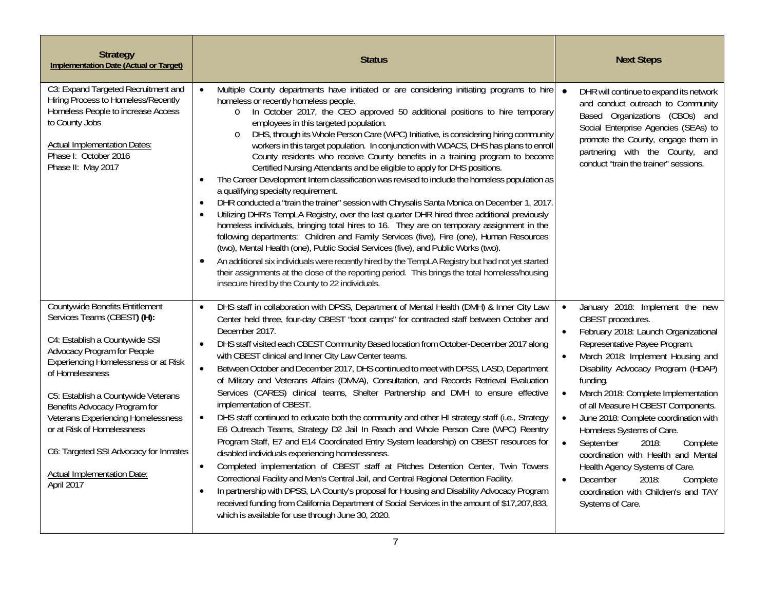| <b>Strategy</b><br>Implementation Date (Actual or Target)                                                                                                                                                                                                                                                                                                                                                                                         | <b>Status</b>                                                                                                                                                                                                                                                                                                                                                                                                                                                                                                                                                                                                                                                                                                                                                                                                                                                                                                                                                                                                                                                                                                                                                                                                                                                                                                                                                                                                                                                                                                                                                                  | <b>Next Steps</b>                                                                                                                                                                                                                                                                                                                                                                                                                                                                                                                                                                                                                   |
|---------------------------------------------------------------------------------------------------------------------------------------------------------------------------------------------------------------------------------------------------------------------------------------------------------------------------------------------------------------------------------------------------------------------------------------------------|--------------------------------------------------------------------------------------------------------------------------------------------------------------------------------------------------------------------------------------------------------------------------------------------------------------------------------------------------------------------------------------------------------------------------------------------------------------------------------------------------------------------------------------------------------------------------------------------------------------------------------------------------------------------------------------------------------------------------------------------------------------------------------------------------------------------------------------------------------------------------------------------------------------------------------------------------------------------------------------------------------------------------------------------------------------------------------------------------------------------------------------------------------------------------------------------------------------------------------------------------------------------------------------------------------------------------------------------------------------------------------------------------------------------------------------------------------------------------------------------------------------------------------------------------------------------------------|-------------------------------------------------------------------------------------------------------------------------------------------------------------------------------------------------------------------------------------------------------------------------------------------------------------------------------------------------------------------------------------------------------------------------------------------------------------------------------------------------------------------------------------------------------------------------------------------------------------------------------------|
| C3: Expand Targeted Recruitment and<br>Hiring Process to Homeless/Recently<br>Homeless People to increase Access<br>to County Jobs<br><b>Actual Implementation Dates:</b><br>Phase I: October 2016<br>Phase II: May 2017                                                                                                                                                                                                                          | Multiple County departments have initiated or are considering initiating programs to hire<br>$\bullet$<br>homeless or recently homeless people.<br>In October 2017, the CEO approved 50 additional positions to hire temporary<br>$\circ$<br>employees in this targeted population.<br>DHS, through its Whole Person Care (WPC) Initiative, is considering hiring community<br>$\circ$<br>workers in this target population. In conjunction with WDACS, DHS has plans to enroll<br>County residents who receive County benefits in a training program to become<br>Certified Nursing Attendants and be eligible to apply for DHS positions.<br>The Career Development Intern classification was revised to include the homeless population as<br>$\bullet$<br>a qualifying specialty requirement.<br>DHR conducted a "train the trainer" session with Chrysalis Santa Monica on December 1, 2017<br>$\bullet$<br>Utilizing DHR's TempLA Registry, over the last quarter DHR hired three additional previously<br>$\bullet$<br>homeless individuals, bringing total hires to 16. They are on temporary assignment in the<br>following departments: Children and Family Services (five), Fire (one), Human Resources<br>(two), Mental Health (one), Public Social Services (five), and Public Works (two).<br>An additional six individuals were recently hired by the TempLA Registry but had not yet started<br>$\bullet$<br>their assignments at the close of the reporting period. This brings the total homeless/housing<br>insecure hired by the County to 22 individuals. | $\bullet$<br>DHR will continue to expand its network<br>and conduct outreach to Community<br>Based Organizations (CBOs) and<br>Social Enterprise Agencies (SEAs) to<br>promote the County, engage them in<br>partnering with the County, and<br>conduct "train the trainer" sessions.                                                                                                                                                                                                                                                                                                                                               |
| <b>Countywide Benefits Entitlement</b><br>Services Teams (CBEST) (H):<br>C4: Establish a Countywide SSI<br>Advocacy Program for People<br>Experiencing Homelessness or at Risk<br>of Homelessness<br>C5: Establish a Countywide Veterans<br>Benefits Advocacy Program for<br><b>Veterans Experiencing Homelessness</b><br>or at Risk of Homelessness<br>C6: Targeted SSI Advocacy for Inmates<br><b>Actual Implementation Date:</b><br>April 2017 | DHS staff in collaboration with DPSS, Department of Mental Health (DMH) & Inner City Law<br>$\bullet$<br>Center held three, four-day CBEST "boot camps" for contracted staff between October and<br>December 2017.<br>DHS staff visited each CBEST Community Based location from October-December 2017 along<br>$\bullet$<br>with CBEST clinical and Inner City Law Center teams.<br>Between October and December 2017, DHS continued to meet with DPSS, LASD, Department<br>$\bullet$<br>of Military and Veterans Affairs (DMVA), Consultation, and Records Retrieval Evaluation<br>Services (CARES) clinical teams, Shelter Partnership and DMH to ensure effective<br>implementation of CBEST.<br>DHS staff continued to educate both the community and other HI strategy staff (i.e., Strategy<br>$\bullet$<br>E6 Outreach Teams, Strategy D2 Jail In Reach and Whole Person Care (WPC) Reentry<br>Program Staff, E7 and E14 Coordinated Entry System leadership) on CBEST resources for<br>disabled individuals experiencing homelessness.<br>Completed implementation of CBEST staff at Pitches Detention Center, Twin Towers<br>$\bullet$<br>Correctional Facility and Men's Central Jail, and Central Regional Detention Facility.<br>In partnership with DPSS, LA County's proposal for Housing and Disability Advocacy Program<br>$\bullet$<br>received funding from California Department of Social Services in the amount of \$17,207,833,<br>which is available for use through June 30, 2020.                                                                    | January 2018: Implement the new<br>$\bullet$<br>CBEST procedures.<br>February 2018: Launch Organizational<br>Representative Payee Program.<br>March 2018: Implement Housing and<br>$\bullet$<br>Disability Advocacy Program (HDAP)<br>funding.<br>March 2018: Complete Implementation<br>of all Measure H CBEST Components.<br>June 2018: Complete coordination with<br>Homeless Systems of Care.<br>September<br>2018:<br>Complete<br>$\bullet$<br>coordination with Health and Mental<br>Health Agency Systems of Care.<br>December<br>2018:<br>Complete<br>$\bullet$<br>coordination with Children's and TAY<br>Systems of Care. |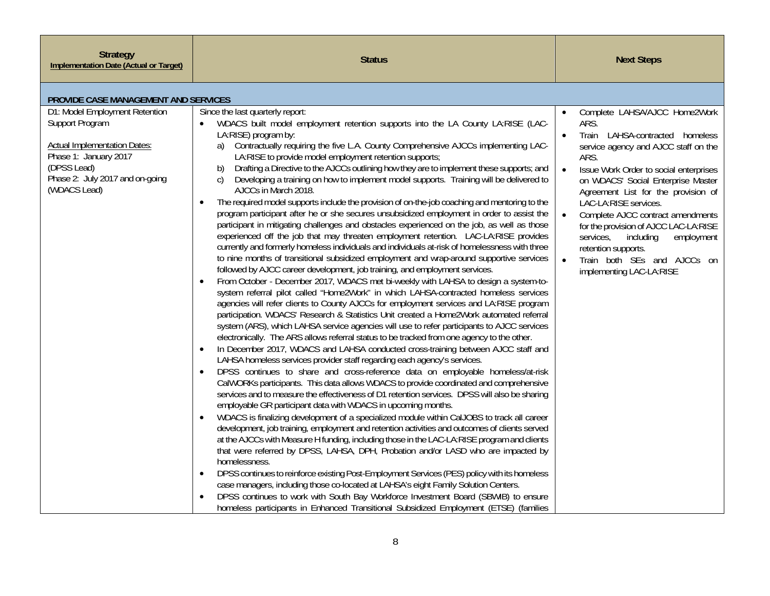| <b>Strategy</b><br><b>Implementation Date (Actual or Target)</b>                                                                                                                    | <b>Status</b>                                                                                                                                                                                                                                                                                                                                                                                                                                                                                                                                                                                                                                                                                                                                                                                                                                                                                                                                                                                                                                                                                                                                                                                                                                                                                                                                                                                                                                                                                                                                                                                                                                                                                                                                                                                                                                                                                                                                                                                                                                                                                                                                                                                                                                                                                                                                                                                                                                                                                                                                                                                                                                                                                                                                                                                                                                                                                                                                                                                                                                                                                                   | <b>Next Steps</b>                                                                                                                                                                                                                                                                                                                                                                                                                                                                                          |
|-------------------------------------------------------------------------------------------------------------------------------------------------------------------------------------|-----------------------------------------------------------------------------------------------------------------------------------------------------------------------------------------------------------------------------------------------------------------------------------------------------------------------------------------------------------------------------------------------------------------------------------------------------------------------------------------------------------------------------------------------------------------------------------------------------------------------------------------------------------------------------------------------------------------------------------------------------------------------------------------------------------------------------------------------------------------------------------------------------------------------------------------------------------------------------------------------------------------------------------------------------------------------------------------------------------------------------------------------------------------------------------------------------------------------------------------------------------------------------------------------------------------------------------------------------------------------------------------------------------------------------------------------------------------------------------------------------------------------------------------------------------------------------------------------------------------------------------------------------------------------------------------------------------------------------------------------------------------------------------------------------------------------------------------------------------------------------------------------------------------------------------------------------------------------------------------------------------------------------------------------------------------------------------------------------------------------------------------------------------------------------------------------------------------------------------------------------------------------------------------------------------------------------------------------------------------------------------------------------------------------------------------------------------------------------------------------------------------------------------------------------------------------------------------------------------------------------------------------------------------------------------------------------------------------------------------------------------------------------------------------------------------------------------------------------------------------------------------------------------------------------------------------------------------------------------------------------------------------------------------------------------------------------------------------------------------|------------------------------------------------------------------------------------------------------------------------------------------------------------------------------------------------------------------------------------------------------------------------------------------------------------------------------------------------------------------------------------------------------------------------------------------------------------------------------------------------------------|
| PROVIDE CASE MANAGEMENT AND SERVICES                                                                                                                                                |                                                                                                                                                                                                                                                                                                                                                                                                                                                                                                                                                                                                                                                                                                                                                                                                                                                                                                                                                                                                                                                                                                                                                                                                                                                                                                                                                                                                                                                                                                                                                                                                                                                                                                                                                                                                                                                                                                                                                                                                                                                                                                                                                                                                                                                                                                                                                                                                                                                                                                                                                                                                                                                                                                                                                                                                                                                                                                                                                                                                                                                                                                                 |                                                                                                                                                                                                                                                                                                                                                                                                                                                                                                            |
| D1: Model Employment Retention<br>Support Program<br><b>Actual Implementation Dates:</b><br>Phase 1: January 2017<br>(DPSS Lead)<br>Phase 2: July 2017 and on-going<br>(WDACS Lead) | Since the last quarterly report:<br>WDACS built model employment retention supports into the LA County LA:RISE (LAC-<br>$\bullet$<br>LA:RISE) program by:<br>Contractually requiring the five L.A. County Comprehensive AJCCs implementing LAC-<br>a)<br>LA:RISE to provide model employment retention supports;<br>Drafting a Directive to the AJCCs outlining how they are to implement these supports; and<br>b)<br>Developing a training on how to implement model supports. Training will be delivered to<br>$\mathcal{C}$<br>AJCCs in March 2018.<br>The required model supports include the provision of on-the-job coaching and mentoring to the<br>$\bullet$<br>program participant after he or she secures unsubsidized employment in order to assist the<br>participant in mitigating challenges and obstacles experienced on the job, as well as those<br>experienced off the job that may threaten employment retention. LAC-LA:RISE provides<br>currently and formerly homeless individuals and individuals at-risk of homelessness with three<br>to nine months of transitional subsidized employment and wrap-around supportive services<br>followed by AJCC career development, job training, and employment services.<br>From October - December 2017, WDACS met bi-weekly with LAHSA to design a system-to-<br>system referral pilot called "Home2Work" in which LAHSA-contracted homeless services<br>agencies will refer clients to County AJCCs for employment services and LA:RISE program<br>participation. WDACS' Research & Statistics Unit created a Home2Work automated referral<br>system (ARS), which LAHSA service agencies will use to refer participants to AJCC services<br>electronically. The ARS allows referral status to be tracked from one agency to the other.<br>In December 2017, WDACS and LAHSA conducted cross-training between AJCC staff and<br>$\bullet$<br>LAHSA homeless services provider staff regarding each agency's services.<br>DPSS continues to share and cross-reference data on employable homeless/at-risk<br>CalWORKs participants. This data allows WDACS to provide coordinated and comprehensive<br>services and to measure the effectiveness of D1 retention services. DPSS will also be sharing<br>employable GR participant data with WDACS in upcoming months.<br>WDACS is finalizing development of a specialized module within CalJOBS to track all career<br>development, job training, employment and retention activities and outcomes of clients served<br>at the AJCCs with Measure H funding, including those in the LAC-LA:RISE program and clients<br>that were referred by DPSS, LAHSA, DPH, Probation and/or LASD who are impacted by<br>homelessness.<br>DPSS continues to reinforce existing Post-Employment Services (PES) policy with its homeless<br>case managers, including those co-located at LAHSA's eight Family Solution Centers.<br>DPSS continues to work with South Bay Workforce Investment Board (SBWIB) to ensure<br>homeless participants in Enhanced Transitional Subsidized Employment (ETSE) (families | Complete LAHSA/AJCC Home2Work<br>$\bullet$<br>ARS.<br>Train LAHSA-contracted homeless<br>$\bullet$<br>service agency and AJCC staff on the<br>ARS.<br>Issue Work Order to social enterprises<br>on WDACS' Social Enterprise Master<br>Agreement List for the provision of<br>LAC-LA:RISE services.<br>Complete AJCC contract amendments<br>for the provision of AJCC LAC-LA:RISE<br>services,<br>including<br>employment<br>retention supports.<br>Train both SEs and AJCCs on<br>implementing LAC-LA:RISE |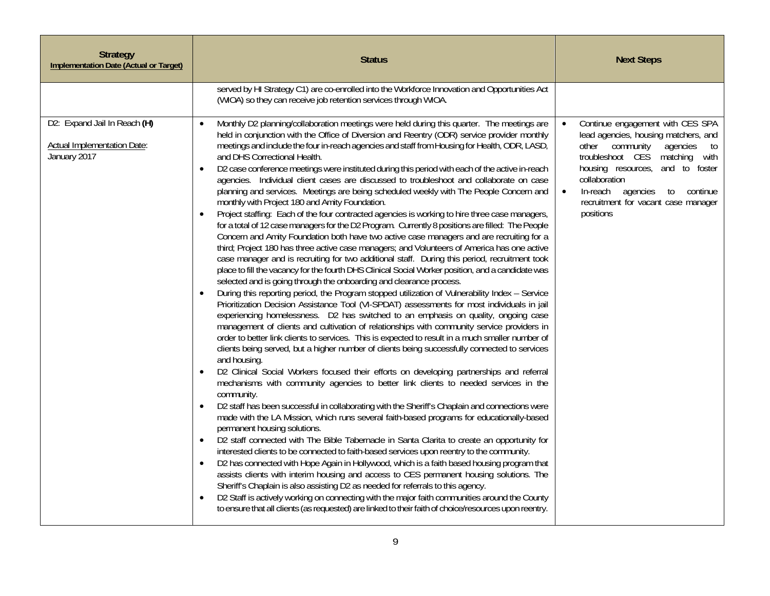| <b>Strategy</b><br><b>Implementation Date (Actual or Target)</b>            | <b>Status</b>                                                                                                                                                                                                                                                                                                                                                                                                                                                                                                                                                                                                                                                                                                                                                                                                                                                                                                                                                                                                                                                                                                                                                                                                                                                                                                                                                                                                                                                                                                                                                                                                                                                                                                                                                                                                                                                                                                                                                                                                                                                                                                                                                                                                                                                                                                                                                                                                                                                                                                                                                                                                                                                                                                                                                                                                                                                                                                                                                                                                                                                                                                                                               | <b>Next Steps</b>                                                                                                                                                                                                                                                                                                     |
|-----------------------------------------------------------------------------|-------------------------------------------------------------------------------------------------------------------------------------------------------------------------------------------------------------------------------------------------------------------------------------------------------------------------------------------------------------------------------------------------------------------------------------------------------------------------------------------------------------------------------------------------------------------------------------------------------------------------------------------------------------------------------------------------------------------------------------------------------------------------------------------------------------------------------------------------------------------------------------------------------------------------------------------------------------------------------------------------------------------------------------------------------------------------------------------------------------------------------------------------------------------------------------------------------------------------------------------------------------------------------------------------------------------------------------------------------------------------------------------------------------------------------------------------------------------------------------------------------------------------------------------------------------------------------------------------------------------------------------------------------------------------------------------------------------------------------------------------------------------------------------------------------------------------------------------------------------------------------------------------------------------------------------------------------------------------------------------------------------------------------------------------------------------------------------------------------------------------------------------------------------------------------------------------------------------------------------------------------------------------------------------------------------------------------------------------------------------------------------------------------------------------------------------------------------------------------------------------------------------------------------------------------------------------------------------------------------------------------------------------------------------------------------------------------------------------------------------------------------------------------------------------------------------------------------------------------------------------------------------------------------------------------------------------------------------------------------------------------------------------------------------------------------------------------------------------------------------------------------------------------------|-----------------------------------------------------------------------------------------------------------------------------------------------------------------------------------------------------------------------------------------------------------------------------------------------------------------------|
|                                                                             | served by HI Strategy C1) are co-enrolled into the Workforce Innovation and Opportunities Act<br>(WIOA) so they can receive job retention services through WIOA.                                                                                                                                                                                                                                                                                                                                                                                                                                                                                                                                                                                                                                                                                                                                                                                                                                                                                                                                                                                                                                                                                                                                                                                                                                                                                                                                                                                                                                                                                                                                                                                                                                                                                                                                                                                                                                                                                                                                                                                                                                                                                                                                                                                                                                                                                                                                                                                                                                                                                                                                                                                                                                                                                                                                                                                                                                                                                                                                                                                            |                                                                                                                                                                                                                                                                                                                       |
| D2: Expand Jail In Reach (H)<br>Actual Implementation Date:<br>January 2017 | Monthly D2 planning/collaboration meetings were held during this quarter. The meetings are<br>$\bullet$<br>held in conjunction with the Office of Diversion and Reentry (ODR) service provider monthly<br>meetings and include the four in-reach agencies and staff from Housing for Health, ODR, LASD,<br>and DHS Correctional Health.<br>D2 case conference meetings were instituted during this period with each of the active in-reach<br>$\bullet$<br>agencies. Individual client cases are discussed to troubleshoot and collaborate on case<br>planning and services. Meetings are being scheduled weekly with The People Concern and<br>monthly with Project 180 and Amity Foundation.<br>Project staffing: Each of the four contracted agencies is working to hire three case managers,<br>$\bullet$<br>for a total of 12 case managers for the D2 Program. Currently 8 positions are filled: The People<br>Concern and Amity Foundation both have two active case managers and are recruiting for a<br>third; Project 180 has three active case managers; and Volunteers of America has one active<br>case manager and is recruiting for two additional staff. During this period, recruitment took<br>place to fill the vacancy for the fourth DHS Clinical Social Worker position, and a candidate was<br>selected and is going through the onboarding and clearance process.<br>During this reporting period, the Program stopped utilization of Vulnerability Index - Service<br>$\bullet$<br>Prioritization Decision Assistance Tool (VI-SPDAT) assessments for most individuals in jail<br>experiencing homelessness. D2 has switched to an emphasis on quality, ongoing case<br>management of clients and cultivation of relationships with community service providers in<br>order to better link clients to services. This is expected to result in a much smaller number of<br>clients being served, but a higher number of clients being successfully connected to services<br>and housing.<br>D2 Clinical Social Workers focused their efforts on developing partnerships and referral<br>mechanisms with community agencies to better link clients to needed services in the<br>community.<br>D2 staff has been successful in collaborating with the Sheriff's Chaplain and connections were<br>made with the LA Mission, which runs several faith-based programs for educationally-based<br>permanent housing solutions.<br>D2 staff connected with The Bible Tabernacle in Santa Clarita to create an opportunity for<br>$\bullet$<br>interested clients to be connected to faith-based services upon reentry to the community.<br>D2 has connected with Hope Again in Hollywood, which is a faith based housing program that<br>$\bullet$<br>assists clients with interim housing and access to CES permanent housing solutions. The<br>Sheriff's Chaplain is also assisting D2 as needed for referrals to this agency.<br>D2 Staff is actively working on connecting with the major faith communities around the County<br>to ensure that all clients (as requested) are linked to their faith of choice/resources upon reentry. | Continue engagement with CES SPA<br>lead agencies, housing matchers, and<br>other community<br>agencies<br>to<br>troubleshoot CES matching<br>with<br>housing resources,<br>and to foster<br>collaboration<br>In-reach<br>agencies<br>continue<br>to<br>$\bullet$<br>recruitment for vacant case manager<br>positions |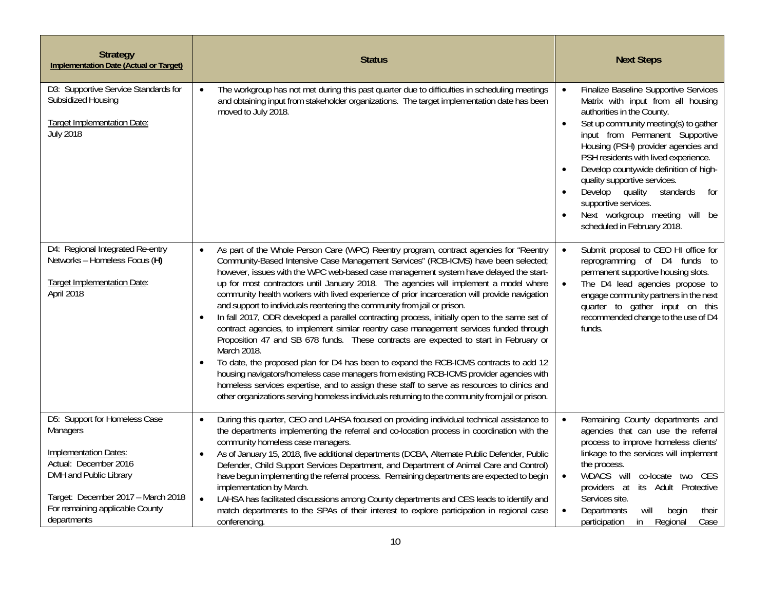| <b>Strategy</b><br><b>Implementation Date (Actual or Target)</b>                                                                                                                                              | <b>Status</b>                                                                                                                                                                                                                                                                                                                                                                                                                                                                                                                                                                                                                                                                                                                                                                                                                                                                                                                                                                                                                                                                                                                                                                                                                                                    | <b>Next Steps</b>                                                                                                                                                                                                                                                                                                                                                                                                                                                                                           |
|---------------------------------------------------------------------------------------------------------------------------------------------------------------------------------------------------------------|------------------------------------------------------------------------------------------------------------------------------------------------------------------------------------------------------------------------------------------------------------------------------------------------------------------------------------------------------------------------------------------------------------------------------------------------------------------------------------------------------------------------------------------------------------------------------------------------------------------------------------------------------------------------------------------------------------------------------------------------------------------------------------------------------------------------------------------------------------------------------------------------------------------------------------------------------------------------------------------------------------------------------------------------------------------------------------------------------------------------------------------------------------------------------------------------------------------------------------------------------------------|-------------------------------------------------------------------------------------------------------------------------------------------------------------------------------------------------------------------------------------------------------------------------------------------------------------------------------------------------------------------------------------------------------------------------------------------------------------------------------------------------------------|
| D3: Supportive Service Standards for<br>Subsidized Housing<br><b>Target Implementation Date:</b><br><b>July 2018</b>                                                                                          | The workgroup has not met during this past quarter due to difficulties in scheduling meetings<br>$\bullet$<br>and obtaining input from stakeholder organizations. The target implementation date has been<br>moved to July 2018.                                                                                                                                                                                                                                                                                                                                                                                                                                                                                                                                                                                                                                                                                                                                                                                                                                                                                                                                                                                                                                 | Finalize Baseline Supportive Services<br>Matrix with input from all housing<br>authorities in the County.<br>Set up community meeting(s) to gather<br>$\bullet$<br>input from Permanent Supportive<br>Housing (PSH) provider agencies and<br>PSH residents with lived experience.<br>Develop countywide definition of high-<br>$\bullet$<br>quality supportive services.<br>Develop quality<br>standards<br>for<br>supportive services.<br>Next workgroup meeting<br>will be<br>scheduled in February 2018. |
| D4: Regional Integrated Re-entry<br>Networks - Homeless Focus (H)<br><b>Target Implementation Date:</b><br>April 2018                                                                                         | As part of the Whole Person Care (WPC) Reentry program, contract agencies for "Reentry<br>$\bullet$<br>Community-Based Intensive Case Management Services" (RCB-ICMS) have been selected;<br>however, issues with the WPC web-based case management system have delayed the start-<br>up for most contractors until January 2018. The agencies will implement a model where<br>community health workers with lived experience of prior incarceration will provide navigation<br>and support to individuals reentering the community from jail or prison.<br>In fall 2017, ODR developed a parallel contracting process, initially open to the same set of<br>$\bullet$<br>contract agencies, to implement similar reentry case management services funded through<br>Proposition 47 and SB 678 funds. These contracts are expected to start in February or<br>March 2018.<br>To date, the proposed plan for D4 has been to expand the RCB-ICMS contracts to add 12<br>housing navigators/homeless case managers from existing RCB-ICMS provider agencies with<br>homeless services expertise, and to assign these staff to serve as resources to clinics and<br>other organizations serving homeless individuals returning to the community from jail or prison. | Submit proposal to CEO HI office for<br>$\bullet$<br>reprogramming of D4 funds to<br>permanent supportive housing slots.<br>The D4 lead agencies propose to<br>engage community partners in the next<br>quarter to gather input on this<br>recommended change to the use of D4<br>funds.                                                                                                                                                                                                                    |
| D5: Support for Homeless Case<br>Managers<br>Implementation Dates:<br>Actual: December 2016<br>DMH and Public Library<br>Target: December 2017 - March 2018<br>For remaining applicable County<br>departments | During this quarter, CEO and LAHSA focused on providing individual technical assistance to<br>$\bullet$<br>the departments implementing the referral and co-location process in coordination with the<br>community homeless case managers.<br>As of January 15, 2018, five additional departments (DCBA, Alternate Public Defender, Public<br>$\bullet$<br>Defender, Child Support Services Department, and Department of Animal Care and Control)<br>have begun implementing the referral process. Remaining departments are expected to begin<br>implementation by March.<br>LAHSA has facilitated discussions among County departments and CES leads to identify and<br>$\bullet$<br>match departments to the SPAs of their interest to explore participation in regional case<br>conferencing.                                                                                                                                                                                                                                                                                                                                                                                                                                                               | Remaining County departments and<br>$\bullet$<br>agencies that can use the referral<br>process to improve homeless clients'<br>linkage to the services will implement<br>the process.<br>WDACS will co-locate two CES<br>providers at its Adult Protective<br>Services site.<br>Departments<br>will<br>their<br>begin<br>$\bullet$<br>Regional<br>participation<br>in<br>Case                                                                                                                               |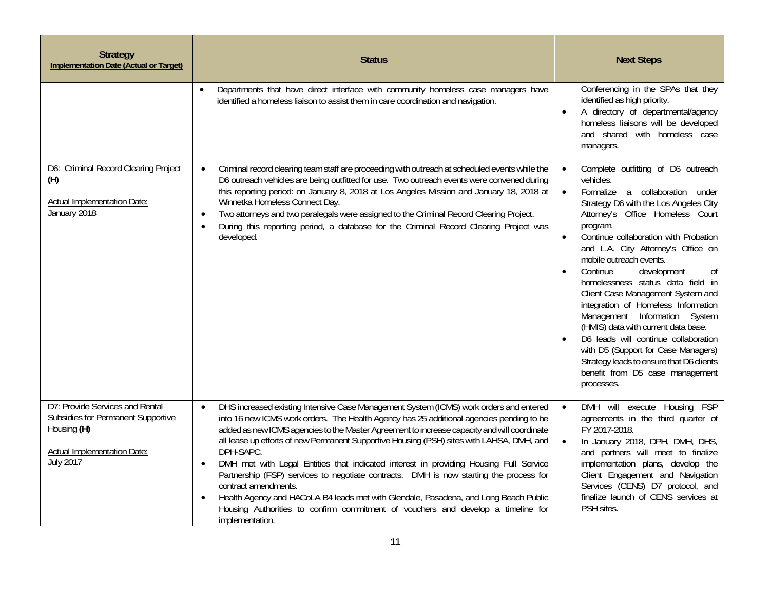| <b>Strategy</b><br><b>Implementation Date (Actual or Target)</b>                                                                        | <b>Status</b>                                                                                                                                                                                                                                                                                                                                                                                                                                                                                                                                                                                                                                                                                                                                                                                                      | <b>Next Steps</b>                                                                                                                                                                                                                                                                                                                                                                                                                                                                                                                                                                                                                                                                                                     |
|-----------------------------------------------------------------------------------------------------------------------------------------|--------------------------------------------------------------------------------------------------------------------------------------------------------------------------------------------------------------------------------------------------------------------------------------------------------------------------------------------------------------------------------------------------------------------------------------------------------------------------------------------------------------------------------------------------------------------------------------------------------------------------------------------------------------------------------------------------------------------------------------------------------------------------------------------------------------------|-----------------------------------------------------------------------------------------------------------------------------------------------------------------------------------------------------------------------------------------------------------------------------------------------------------------------------------------------------------------------------------------------------------------------------------------------------------------------------------------------------------------------------------------------------------------------------------------------------------------------------------------------------------------------------------------------------------------------|
|                                                                                                                                         | Departments that have direct interface with community homeless case managers have<br>identified a homeless liaison to assist them in care coordination and navigation.                                                                                                                                                                                                                                                                                                                                                                                                                                                                                                                                                                                                                                             | Conferencing in the SPAs that they<br>identified as high priority.<br>A directory of departmental/agency<br>homeless liaisons will be developed<br>and shared with homeless case<br>managers.                                                                                                                                                                                                                                                                                                                                                                                                                                                                                                                         |
| D6: Criminal Record Clearing Project<br>(H)<br>Actual Implementation Date:<br>January 2018                                              | Criminal record clearing team staff are proceeding with outreach at scheduled events while the<br>$\bullet$<br>D6 outreach vehicles are being outfitted for use. Two outreach events were convened during<br>this reporting period: on January 8, 2018 at Los Angeles Mission and January 18, 2018 at<br>Winnetka Homeless Connect Day.<br>Two attorneys and two paralegals were assigned to the Criminal Record Clearing Project.<br>$\bullet$<br>During this reporting period, a database for the Criminal Record Clearing Project was<br>$\bullet$<br>developed.                                                                                                                                                                                                                                                | Complete outfitting of D6 outreach<br>$\bullet$<br>vehicles.<br>Formalize a collaboration under<br>$\bullet$<br>Strategy D6 with the Los Angeles City<br>Attorney's Office Homeless Court<br>program.<br>Continue collaboration with Probation<br>and L.A. City Attorney's Office on<br>mobile outreach events.<br>Continue<br>development<br>0f<br>homelessness status data field in<br>Client Case Management System and<br>integration of Homeless Information<br>Management Information System<br>(HMIS) data with current data base.<br>D6 leads will continue collaboration<br>with D5 (Support for Case Managers)<br>Strategy leads to ensure that D6 clients<br>benefit from D5 case management<br>processes. |
| D7: Provide Services and Rental<br>Subsidies for Permanent Supportive<br>Housing (H)<br><b>Actual Implementation Date:</b><br>July 2017 | DHS increased existing Intensive Case Management System (ICMS) work orders and entered<br>$\bullet$<br>into 16 new ICMS work orders. The Health Agency has 25 additional agencies pending to be<br>added as new ICMS agencies to the Master Agreement to increase capacity and will coordinate<br>all lease up efforts of new Permanent Supportive Housing (PSH) sites with LAHSA, DMH, and<br>DPH-SAPC.<br>DMH met with Legal Entities that indicated interest in providing Housing Full Service<br>Partnership (FSP) services to negotiate contracts. DMH is now starting the process for<br>contract amendments.<br>Health Agency and HACoLA B4 leads met with Glendale, Pasadena, and Long Beach Public<br>Housing Authorities to confirm commitment of vouchers and develop a timeline for<br>implementation. | DMH will execute Housing FSP<br>$\bullet$<br>agreements in the third quarter of<br>FY 2017-2018.<br>In January 2018, DPH, DMH, DHS,<br>$\bullet$<br>and partners will meet to finalize<br>implementation plans, develop the<br>Client Engagement and Navigation<br>Services (CENS) D7 protocol, and<br>finalize launch of CENS services at<br>PSH sites.                                                                                                                                                                                                                                                                                                                                                              |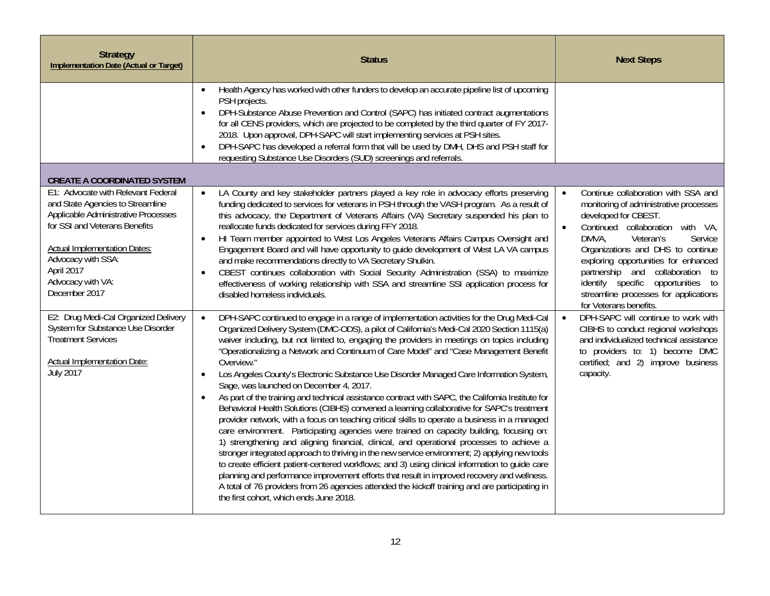| <b>Strategy</b><br><b>Implementation Date (Actual or Target)</b>                                                                                                                                                                                                                                                                                                                                                                                                   | <b>Status</b>                                                                                                                                                                                                                                                                                                                                                                                                                                                                                                                                                                                                                                                                                                                                                                                                                                                                                                                                                                                                                                                                                                                                                                                                                                                                                                                                                                                                                                                                                                                                                                                                                                                                                                                                                                                                                                                                                                                                                                                                                                                                                                                                                                                                                                                                                                                                                          | <b>Next Steps</b>                                                                                                                                                                                                                                                                                                                                                                                                                                                                                                                                                                                                               |
|--------------------------------------------------------------------------------------------------------------------------------------------------------------------------------------------------------------------------------------------------------------------------------------------------------------------------------------------------------------------------------------------------------------------------------------------------------------------|------------------------------------------------------------------------------------------------------------------------------------------------------------------------------------------------------------------------------------------------------------------------------------------------------------------------------------------------------------------------------------------------------------------------------------------------------------------------------------------------------------------------------------------------------------------------------------------------------------------------------------------------------------------------------------------------------------------------------------------------------------------------------------------------------------------------------------------------------------------------------------------------------------------------------------------------------------------------------------------------------------------------------------------------------------------------------------------------------------------------------------------------------------------------------------------------------------------------------------------------------------------------------------------------------------------------------------------------------------------------------------------------------------------------------------------------------------------------------------------------------------------------------------------------------------------------------------------------------------------------------------------------------------------------------------------------------------------------------------------------------------------------------------------------------------------------------------------------------------------------------------------------------------------------------------------------------------------------------------------------------------------------------------------------------------------------------------------------------------------------------------------------------------------------------------------------------------------------------------------------------------------------------------------------------------------------------------------------------------------------|---------------------------------------------------------------------------------------------------------------------------------------------------------------------------------------------------------------------------------------------------------------------------------------------------------------------------------------------------------------------------------------------------------------------------------------------------------------------------------------------------------------------------------------------------------------------------------------------------------------------------------|
|                                                                                                                                                                                                                                                                                                                                                                                                                                                                    | Health Agency has worked with other funders to develop an accurate pipeline list of upcoming<br>$\bullet$<br>PSH projects.<br>DPH-Substance Abuse Prevention and Control (SAPC) has initiated contract augmentations<br>for all CENS providers, which are projected to be completed by the third quarter of FY 2017-<br>2018. Upon approval, DPH-SAPC will start implementing services at PSH sites.<br>DPH-SAPC has developed a referral form that will be used by DMH, DHS and PSH staff for<br>requesting Substance Use Disorders (SUD) screenings and referrals.                                                                                                                                                                                                                                                                                                                                                                                                                                                                                                                                                                                                                                                                                                                                                                                                                                                                                                                                                                                                                                                                                                                                                                                                                                                                                                                                                                                                                                                                                                                                                                                                                                                                                                                                                                                                   |                                                                                                                                                                                                                                                                                                                                                                                                                                                                                                                                                                                                                                 |
| <b>CREATE A COORDINATED SYSTEM</b><br>E1: Advocate with Relevant Federal<br>and State Agencies to Streamline<br>Applicable Administrative Processes<br>for SSI and Veterans Benefits<br><b>Actual Implementation Dates:</b><br>Advocacy with SSA:<br>April 2017<br>Advocacy with VA:<br>December 2017<br>E2: Drug Medi-Cal Organized Delivery<br>System for Substance Use Disorder<br><b>Treatment Services</b><br>Actual Implementation Date:<br><b>July 2017</b> | LA County and key stakeholder partners played a key role in advocacy efforts preserving<br>$\bullet$<br>funding dedicated to services for veterans in PSH through the VASH program. As a result of<br>this advocacy, the Department of Veterans Affairs (VA) Secretary suspended his plan to<br>reallocate funds dedicated for services during FFY 2018.<br>HI Team member appointed to West Los Angeles Veterans Affairs Campus Oversight and<br>Engagement Board and will have opportunity to quide development of West LA VA campus<br>and make recommendations directly to VA Secretary Shulkin.<br>CBEST continues collaboration with Social Security Administration (SSA) to maximize<br>$\bullet$<br>effectiveness of working relationship with SSA and streamline SSI application process for<br>disabled homeless individuals.<br>DPH-SAPC continued to engage in a range of implementation activities for the Drug Medi-Cal<br>$\bullet$<br>Organized Delivery System (DMC-ODS), a pilot of California's Medi-Cal 2020 Section 1115(a)<br>waiver including, but not limited to, engaging the providers in meetings on topics including<br>"Operationalizing a Network and Continuum of Care Model" and "Case Management Benefit<br>Overview."<br>Los Angeles County's Electronic Substance Use Disorder Managed Care Information System,<br>$\bullet$<br>Sage, was launched on December 4, 2017.<br>As part of the training and technical assistance contract with SAPC, the California Institute for<br>$\bullet$<br>Behavioral Health Solutions (CIBHS) convened a learning collaborative for SAPC's treatment<br>provider network, with a focus on teaching critical skills to operate a business in a managed<br>care environment. Participating agencies were trained on capacity building, focusing on:<br>1) strengthening and aligning financial, clinical, and operational processes to achieve a<br>stronger integrated approach to thriving in the new service environment; 2) applying new tools<br>to create efficient patient-centered workflows; and 3) using clinical information to guide care<br>planning and performance improvement efforts that result in improved recovery and wellness.<br>A total of 76 providers from 26 agencies attended the kickoff training and are participating in<br>the first cohort, which ends June 2018. | Continue collaboration with SSA and<br>$\bullet$<br>monitoring of administrative processes<br>developed for CBEST.<br>Continued collaboration with VA,<br>DMVA.<br>Service<br>Veteran's<br>Organizations and DHS to continue<br>exploring opportunities for enhanced<br>partnership and collaboration to<br>identify specific opportunities to<br>streamline processes for applications<br>for Veterans benefits.<br>DPH-SAPC will continue to work with<br>CIBHS to conduct regional workshops<br>and individualized technical assistance<br>to providers to: 1) become DMC<br>certified; and 2) improve business<br>capacity. |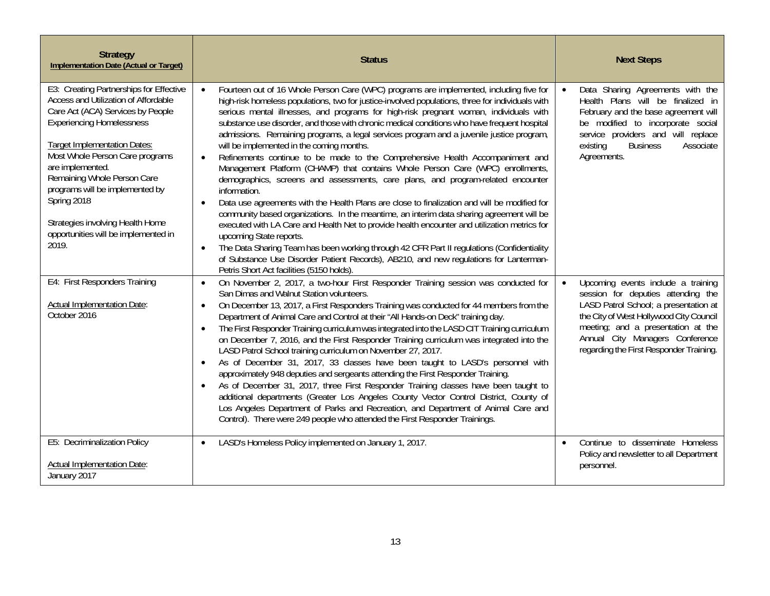| <b>Strategy</b><br><b>Implementation Date (Actual or Target)</b>                                                                                                                                                                                                                                                                                                                                                             | <b>Status</b>                                                                                                                                                                                                                                                                                                                                                                                                                                                                                                                                                                                                                                                                                                                                                                                                                                                                                                                                                                                                                                                                                                                                                                                                                                                                                                                                                                 | <b>Next Steps</b>                                                                                                                                                                                                                                                                             |
|------------------------------------------------------------------------------------------------------------------------------------------------------------------------------------------------------------------------------------------------------------------------------------------------------------------------------------------------------------------------------------------------------------------------------|-------------------------------------------------------------------------------------------------------------------------------------------------------------------------------------------------------------------------------------------------------------------------------------------------------------------------------------------------------------------------------------------------------------------------------------------------------------------------------------------------------------------------------------------------------------------------------------------------------------------------------------------------------------------------------------------------------------------------------------------------------------------------------------------------------------------------------------------------------------------------------------------------------------------------------------------------------------------------------------------------------------------------------------------------------------------------------------------------------------------------------------------------------------------------------------------------------------------------------------------------------------------------------------------------------------------------------------------------------------------------------|-----------------------------------------------------------------------------------------------------------------------------------------------------------------------------------------------------------------------------------------------------------------------------------------------|
| E3: Creating Partnerships for Effective<br>Access and Utilization of Affordable<br>Care Act (ACA) Services by People<br><b>Experiencing Homelessness</b><br><b>Target Implementation Dates:</b><br>Most Whole Person Care programs<br>are implemented.<br>Remaining Whole Person Care<br>programs will be implemented by<br>Spring 2018<br>Strategies involving Health Home<br>opportunities will be implemented in<br>2019. | Fourteen out of 16 Whole Person Care (WPC) programs are implemented, including five for<br>high-risk homeless populations, two for justice-involved populations, three for individuals with<br>serious mental illnesses, and programs for high-risk pregnant woman, individuals with<br>substance use disorder, and those with chronic medical conditions who have frequent hospital<br>admissions. Remaining programs, a legal services program and a juvenile justice program,<br>will be implemented in the coming months.<br>Refinements continue to be made to the Comprehensive Health Accompaniment and<br>Management Platform (CHAMP) that contains Whole Person Care (WPC) enrollments,<br>demographics, screens and assessments, care plans, and program-related encounter<br>information.<br>Data use agreements with the Health Plans are close to finalization and will be modified for<br>$\bullet$<br>community based organizations. In the meantime, an interim data sharing agreement will be<br>executed with LA Care and Health Net to provide health encounter and utilization metrics for<br>upcoming State reports.<br>The Data Sharing Team has been working through 42 CFR Part II regulations (Confidentiality<br>of Substance Use Disorder Patient Records), AB210, and new regulations for Lanterman-<br>Petris Short Act facilities (5150 holds). | Data Sharing Agreements with the<br>$\bullet$<br>Health Plans will be finalized in<br>February and the base agreement will<br>be modified to incorporate social<br>service providers and will replace<br>existing<br><b>Business</b><br>Associate<br>Agreements.                              |
| E4: First Responders Training<br><b>Actual Implementation Date:</b><br>October 2016                                                                                                                                                                                                                                                                                                                                          | On November 2, 2017, a two-hour First Responder Training session was conducted for<br>$\bullet$<br>San Dimas and Walnut Station volunteers.<br>On December 13, 2017, a First Responders Training was conducted for 44 members from the<br>$\bullet$<br>Department of Animal Care and Control at their "All Hands-on Deck" training day.<br>The First Responder Training curriculum was integrated into the LASD CIT Training curriculum<br>$\bullet$<br>on December 7, 2016, and the First Responder Training curriculum was integrated into the<br>LASD Patrol School training curriculum on November 27, 2017.<br>As of December 31, 2017, 33 classes have been taught to LASD's personnel with<br>$\bullet$<br>approximately 948 deputies and sergeants attending the First Responder Training.<br>As of December 31, 2017, three First Responder Training classes have been taught to<br>additional departments (Greater Los Angeles County Vector Control District, County of<br>Los Angeles Department of Parks and Recreation, and Department of Animal Care and<br>Control). There were 249 people who attended the First Responder Trainings.                                                                                                                                                                                                                        | Upcoming events include a training<br>$\bullet$<br>session for deputies attending the<br>LASD Patrol School; a presentation at<br>the City of West Hollywood City Council<br>meeting; and a presentation at the<br>Annual City Managers Conference<br>regarding the First Responder Training. |
| E5: Decriminalization Policy<br><b>Actual Implementation Date:</b><br>January 2017                                                                                                                                                                                                                                                                                                                                           | LASD's Homeless Policy implemented on January 1, 2017.<br>$\bullet$                                                                                                                                                                                                                                                                                                                                                                                                                                                                                                                                                                                                                                                                                                                                                                                                                                                                                                                                                                                                                                                                                                                                                                                                                                                                                                           | Continue to disseminate Homeless<br>$\bullet$<br>Policy and newsletter to all Department<br>personnel.                                                                                                                                                                                        |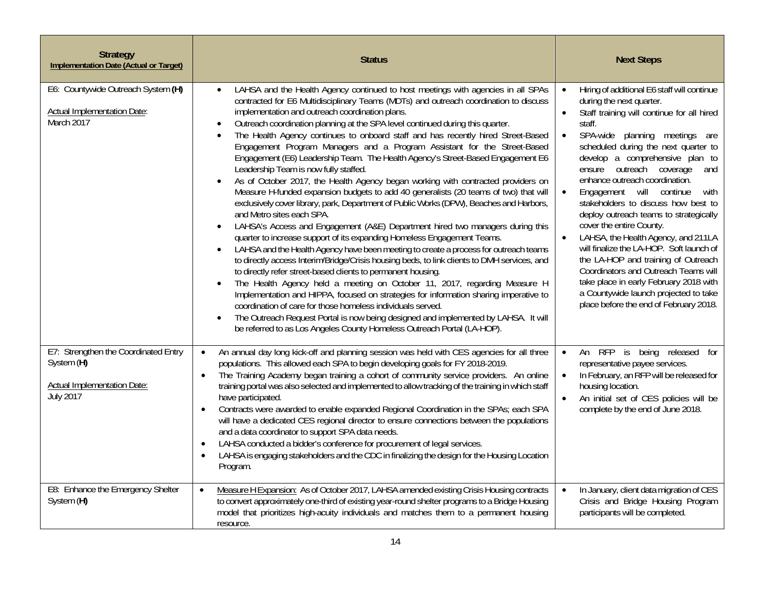| <b>Strategy</b><br><b>Implementation Date (Actual or Target)</b>                                      | <b>Status</b>                                                                                                                                                                                                                                                                                                                                                                                                                                                                                                                                                                                                                                                                                                                                                                                                                                                                                                                                                                                                                                                                                                                                                                                                                                                                                                                                                                                                                                                                                                                                                                                                                                                                                                                                                                                                                                    | <b>Next Steps</b>                                                                                                                                                                                                                                                                                                                                                                                                                                                                                                                                                                                                                                                                                                                                                                                                     |
|-------------------------------------------------------------------------------------------------------|--------------------------------------------------------------------------------------------------------------------------------------------------------------------------------------------------------------------------------------------------------------------------------------------------------------------------------------------------------------------------------------------------------------------------------------------------------------------------------------------------------------------------------------------------------------------------------------------------------------------------------------------------------------------------------------------------------------------------------------------------------------------------------------------------------------------------------------------------------------------------------------------------------------------------------------------------------------------------------------------------------------------------------------------------------------------------------------------------------------------------------------------------------------------------------------------------------------------------------------------------------------------------------------------------------------------------------------------------------------------------------------------------------------------------------------------------------------------------------------------------------------------------------------------------------------------------------------------------------------------------------------------------------------------------------------------------------------------------------------------------------------------------------------------------------------------------------------------------|-----------------------------------------------------------------------------------------------------------------------------------------------------------------------------------------------------------------------------------------------------------------------------------------------------------------------------------------------------------------------------------------------------------------------------------------------------------------------------------------------------------------------------------------------------------------------------------------------------------------------------------------------------------------------------------------------------------------------------------------------------------------------------------------------------------------------|
| E6: Countywide Outreach System (H)<br>Actual Implementation Date:<br>March 2017                       | LAHSA and the Health Agency continued to host meetings with agencies in all SPAs<br>$\bullet$<br>contracted for E6 Multidisciplinary Teams (MDTs) and outreach coordination to discuss<br>implementation and outreach coordination plans.<br>Outreach coordination planning at the SPA level continued during this quarter.<br>$\bullet$<br>The Health Agency continues to onboard staff and has recently hired Street-Based<br>$\bullet$<br>Engagement Program Managers and a Program Assistant for the Street-Based<br>Engagement (E6) Leadership Team. The Health Agency's Street-Based Engagement E6<br>Leadership Team is now fully staffed.<br>As of October 2017, the Health Agency began working with contracted providers on<br>$\bullet$<br>Measure H-funded expansion budgets to add 40 generalists (20 teams of two) that will<br>exclusively cover library, park, Department of Public Works (DPW), Beaches and Harbors,<br>and Metro sites each SPA.<br>LAHSA's Access and Engagement (A&E) Department hired two managers during this<br>$\bullet$<br>quarter to increase support of its expanding Homeless Engagement Teams.<br>LAHSA and the Health Agency have been meeting to create a process for outreach teams<br>$\bullet$<br>to directly access Interim/Bridge/Crisis housing beds, to link clients to DMH services, and<br>to directly refer street-based clients to permanent housing.<br>The Health Agency held a meeting on October 11, 2017, regarding Measure H<br>$\bullet$<br>Implementation and HIPPA, focused on strategies for information sharing imperative to<br>coordination of care for those homeless individuals served.<br>The Outreach Request Portal is now being designed and implemented by LAHSA. It will<br>$\bullet$<br>be referred to as Los Angeles County Homeless Outreach Portal (LA-HOP). | Hiring of additional E6 staff will continue<br>$\bullet$<br>during the next quarter.<br>Staff training will continue for all hired<br>$\bullet$<br>staff.<br>SPA-wide planning meetings are<br>scheduled during the next quarter to<br>develop a comprehensive plan to<br>ensure outreach coverage<br>and<br>enhance outreach coordination.<br>Engagement will continue<br>$\bullet$<br>with<br>stakeholders to discuss how best to<br>deploy outreach teams to strategically<br>cover the entire County.<br>LAHSA, the Health Agency, and 211LA<br>$\bullet$<br>will finalize the LA-HOP. Soft launch of<br>the LA-HOP and training of Outreach<br>Coordinators and Outreach Teams will<br>take place in early February 2018 with<br>a Countywide launch projected to take<br>place before the end of February 2018. |
| E7: Strengthen the Coordinated Entry<br>System (H)<br>Actual Implementation Date:<br><b>July 2017</b> | An annual day long kick-off and planning session was held with CES agencies for all three<br>$\bullet$<br>populations. This allowed each SPA to begin developing goals for FY 2018-2019.<br>The Training Academy began training a cohort of community service providers. An online<br>$\bullet$<br>training portal was also selected and implemented to allow tracking of the training in which staff<br>have participated.<br>Contracts were awarded to enable expanded Regional Coordination in the SPAs; each SPA<br>$\bullet$<br>will have a dedicated CES regional director to ensure connections between the populations<br>and a data coordinator to support SPA data needs.<br>LAHSA conducted a bidder's conference for procurement of legal services.<br>$\bullet$<br>LAHSA is engaging stakeholders and the CDC in finalizing the design for the Housing Location<br>$\bullet$<br>Program.                                                                                                                                                                                                                                                                                                                                                                                                                                                                                                                                                                                                                                                                                                                                                                                                                                                                                                                                            | An RFP is being released for<br>$\bullet$<br>representative payee services.<br>In February, an RFP will be released for<br>housing location.<br>An initial set of CES policies will be<br>complete by the end of June 2018.                                                                                                                                                                                                                                                                                                                                                                                                                                                                                                                                                                                           |
| E8: Enhance the Emergency Shelter<br>System (H)                                                       | Measure H Expansion: As of October 2017, LAHSA amended existing Crisis Housing contracts<br>$\bullet$<br>to convert approximately one-third of existing year-round shelter programs to a Bridge Housing<br>model that prioritizes high-acuity individuals and matches them to a permanent housing<br>resource.                                                                                                                                                                                                                                                                                                                                                                                                                                                                                                                                                                                                                                                                                                                                                                                                                                                                                                                                                                                                                                                                                                                                                                                                                                                                                                                                                                                                                                                                                                                                   | In January, client data migration of CES<br>$\bullet$<br>Crisis and Bridge Housing Program<br>participants will be completed.                                                                                                                                                                                                                                                                                                                                                                                                                                                                                                                                                                                                                                                                                         |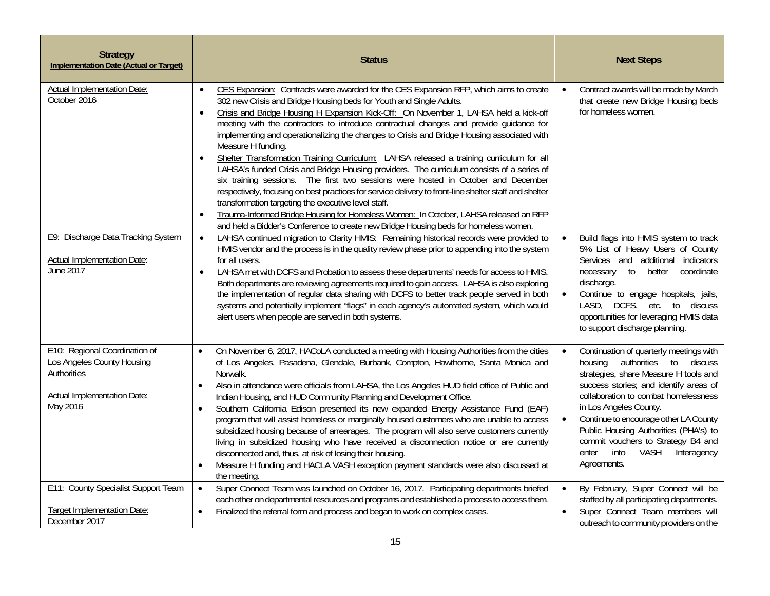| <b>Strategy</b><br><b>Implementation Date (Actual or Target)</b>                                                             | <b>Status</b>                                                                                                                                                                                                                                                                                                                                                                                                                                                                                                                                                                                                                                                                                                                                                                                                                                                                                                                                                                                                                                                                                                                            | <b>Next Steps</b>                                                                                                                                                                                                                                                                                                                                                                                                             |
|------------------------------------------------------------------------------------------------------------------------------|------------------------------------------------------------------------------------------------------------------------------------------------------------------------------------------------------------------------------------------------------------------------------------------------------------------------------------------------------------------------------------------------------------------------------------------------------------------------------------------------------------------------------------------------------------------------------------------------------------------------------------------------------------------------------------------------------------------------------------------------------------------------------------------------------------------------------------------------------------------------------------------------------------------------------------------------------------------------------------------------------------------------------------------------------------------------------------------------------------------------------------------|-------------------------------------------------------------------------------------------------------------------------------------------------------------------------------------------------------------------------------------------------------------------------------------------------------------------------------------------------------------------------------------------------------------------------------|
| Actual Implementation Date:<br>October 2016                                                                                  | CES Expansion: Contracts were awarded for the CES Expansion RFP, which aims to create<br>$\bullet$<br>302 new Crisis and Bridge Housing beds for Youth and Single Adults.<br>Crisis and Bridge Housing H Expansion Kick-Off: On November 1, LAHSA held a kick-off<br>$\bullet$<br>meeting with the contractors to introduce contractual changes and provide guidance for<br>implementing and operationalizing the changes to Crisis and Bridge Housing associated with<br>Measure H funding.<br>Shelter Transformation Training Curriculum: LAHSA released a training curriculum for all<br>LAHSA's funded Crisis and Bridge Housing providers. The curriculum consists of a series of<br>six training sessions. The first two sessions were hosted in October and December<br>respectively, focusing on best practices for service delivery to front-line shelter staff and shelter<br>transformation targeting the executive level staff.<br>Trauma-Informed Bridge Housing for Homeless Women: In October, LAHSA released an RFP<br>$\bullet$<br>and held a Bidder's Conference to create new Bridge Housing beds for homeless women. | Contract awards will be made by March<br>that create new Bridge Housing beds<br>for homeless women.                                                                                                                                                                                                                                                                                                                           |
| E9: Discharge Data Tracking System<br><b>Actual Implementation Date:</b><br>June 2017                                        | LAHSA continued migration to Clarity HMIS: Remaining historical records were provided to<br>$\bullet$<br>HMIS vendor and the process is in the quality review phase prior to appending into the system<br>for all users.<br>LAHSA met with DCFS and Probation to assess these departments' needs for access to HMIS.<br>Both departments are reviewing agreements required to gain access. LAHSA is also exploring<br>the implementation of regular data sharing with DCFS to better track people served in both<br>systems and potentially implement "flags" in each agency's automated system, which would<br>alert users when people are served in both systems.                                                                                                                                                                                                                                                                                                                                                                                                                                                                      | Build flags into HMIS system to track<br>5% List of Heavy Users of County<br>Services and additional indicators<br>better coordinate<br>to<br>necessary<br>discharge.<br>Continue to engage hospitals, jails,<br>LASD, DCFS, etc.<br>to discuss<br>opportunities for leveraging HMIS data<br>to support discharge planning.                                                                                                   |
| E10: Regional Coordination of<br>Los Angeles County Housing<br>Authorities<br><b>Actual Implementation Date:</b><br>May 2016 | On November 6, 2017, HACoLA conducted a meeting with Housing Authorities from the cities<br>of Los Angeles, Pasadena, Glendale, Burbank, Compton, Hawthorne, Santa Monica and<br>Norwalk.<br>Also in attendance were officials from LAHSA, the Los Angeles HUD field office of Public and<br>$\bullet$<br>Indian Housing, and HUD Community Planning and Development Office.<br>Southern California Edison presented its new expanded Energy Assistance Fund (EAF)<br>$\bullet$<br>program that will assist homeless or marginally housed customers who are unable to access<br>subsidized housing because of arrearages. The program will also serve customers currently<br>living in subsidized housing who have received a disconnection notice or are currently<br>disconnected and, thus, at risk of losing their housing.<br>Measure H funding and HACLA VASH exception payment standards were also discussed at<br>$\bullet$<br>the meeting.                                                                                                                                                                                      | Continuation of quarterly meetings with<br>$\bullet$<br>authorities to discuss<br>housing<br>strategies, share Measure H tools and<br>success stories; and identify areas of<br>collaboration to combat homelessness<br>in Los Angeles County.<br>Continue to encourage other LA County<br>Public Housing Authorities (PHA's) to<br>commit vouchers to Strategy B4 and<br>enter<br>into<br>VASH<br>Interagency<br>Agreements. |
| E11: County Specialist Support Team<br><b>Target Implementation Date:</b><br>December 2017                                   | Super Connect Team was launched on October 16, 2017. Participating departments briefed<br>$\bullet$<br>each other on departmental resources and programs and established a process to access them.<br>Finalized the referral form and process and began to work on complex cases.<br>$\bullet$                                                                                                                                                                                                                                                                                                                                                                                                                                                                                                                                                                                                                                                                                                                                                                                                                                           | By February, Super Connect will be<br>$\bullet$<br>staffed by all participating departments.<br>Super Connect Team members will<br>outreach to community providers on the                                                                                                                                                                                                                                                     |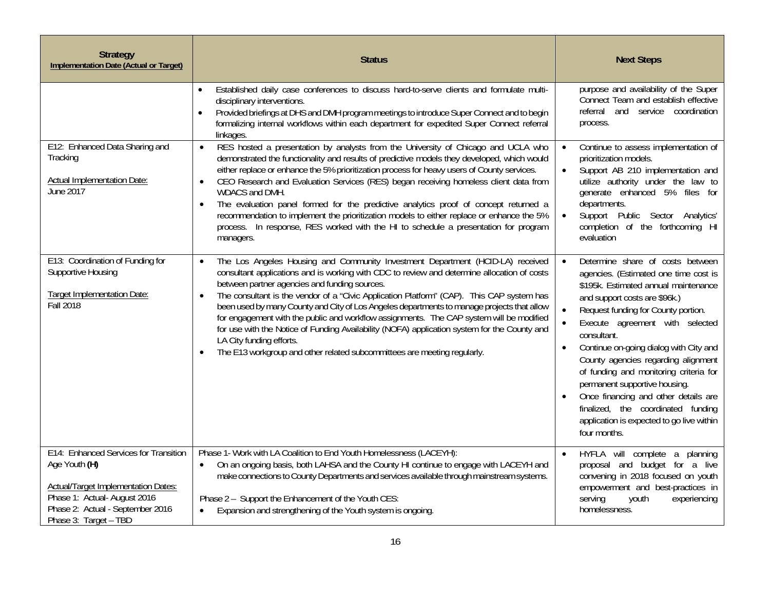| <b>Strategy</b><br><b>Implementation Date (Actual or Target)</b>                                                                                                                                 | <b>Status</b>                                                                                                                                                                                                                                                                                                                                                                                                                                                                                                                                                                                                                                                                                                                                                        | <b>Next Steps</b>                                                                                                                                                                                                                                                                                                                                                                                                                                                                                                                                               |
|--------------------------------------------------------------------------------------------------------------------------------------------------------------------------------------------------|----------------------------------------------------------------------------------------------------------------------------------------------------------------------------------------------------------------------------------------------------------------------------------------------------------------------------------------------------------------------------------------------------------------------------------------------------------------------------------------------------------------------------------------------------------------------------------------------------------------------------------------------------------------------------------------------------------------------------------------------------------------------|-----------------------------------------------------------------------------------------------------------------------------------------------------------------------------------------------------------------------------------------------------------------------------------------------------------------------------------------------------------------------------------------------------------------------------------------------------------------------------------------------------------------------------------------------------------------|
|                                                                                                                                                                                                  | Established daily case conferences to discuss hard-to-serve clients and formulate multi-<br>$\bullet$<br>disciplinary interventions.<br>Provided briefings at DHS and DMH program meetings to introduce Super Connect and to begin<br>$\bullet$<br>formalizing internal workflows within each department for expedited Super Connect referral<br>linkages.                                                                                                                                                                                                                                                                                                                                                                                                           | purpose and availability of the Super<br>Connect Team and establish effective<br>referral and service coordination<br>process.                                                                                                                                                                                                                                                                                                                                                                                                                                  |
| E12: Enhanced Data Sharing and<br>Tracking<br>Actual Implementation Date:<br><b>June 2017</b>                                                                                                    | RES hosted a presentation by analysts from the University of Chicago and UCLA who<br>$\bullet$<br>demonstrated the functionality and results of predictive models they developed, which would<br>either replace or enhance the 5% prioritization process for heavy users of County services.<br>CEO Research and Evaluation Services (RES) began receiving homeless client data from<br>$\bullet$<br>WDACS and DMH.<br>The evaluation panel formed for the predictive analytics proof of concept returned a<br>$\bullet$<br>recommendation to implement the prioritization models to either replace or enhance the 5%<br>process. In response, RES worked with the HI to schedule a presentation for program<br>managers.                                            | Continue to assess implementation of<br>prioritization models.<br>Support AB 210 implementation and<br>$\bullet$<br>utilize authority under the law to<br>generate enhanced 5% files for<br>departments.<br>Support Public Sector Analytics'<br>completion of the forthcoming HI<br>evaluation                                                                                                                                                                                                                                                                  |
| E13: Coordination of Funding for<br>Supportive Housing<br><b>Target Implementation Date:</b><br>Fall 2018                                                                                        | The Los Angeles Housing and Community Investment Department (HCID-LA) received<br>$\bullet$<br>consultant applications and is working with CDC to review and determine allocation of costs<br>between partner agencies and funding sources.<br>The consultant is the vendor of a "Civic Application Platform" (CAP). This CAP system has<br>$\bullet$<br>been used by many County and City of Los Angeles departments to manage projects that allow<br>for engagement with the public and workflow assignments. The CAP system will be modified<br>for use with the Notice of Funding Availability (NOFA) application system for the County and<br>LA City funding efforts.<br>The E13 workgroup and other related subcommittees are meeting regularly.<br>$\bullet$ | Determine share of costs between<br>$\bullet$<br>agencies. (Estimated one time cost is<br>\$195k. Estimated annual maintenance<br>and support costs are \$96k.)<br>Request funding for County portion.<br>Execute agreement with selected<br>consultant.<br>Continue on-going dialog with City and<br>County agencies regarding alignment<br>of funding and monitoring criteria for<br>permanent supportive housing.<br>Once financing and other details are<br>finalized, the coordinated funding<br>application is expected to go live within<br>four months. |
| E14: Enhanced Services for Transition<br>Age Youth (H)<br><b>Actual/Target Implementation Dates:</b><br>Phase 1: Actual-August 2016<br>Phase 2: Actual - September 2016<br>Phase 3: Target - TBD | Phase 1- Work with LA Coalition to End Youth Homelessness (LACEYH):<br>On an ongoing basis, both LAHSA and the County HI continue to engage with LACEYH and<br>$\bullet$<br>make connections to County Departments and services available through mainstream systems.<br>Phase 2 - Support the Enhancement of the Youth CES:<br>Expansion and strengthening of the Youth system is ongoing.<br>$\bullet$                                                                                                                                                                                                                                                                                                                                                             | HYFLA will complete a planning<br>proposal and budget for a live<br>convening in 2018 focused on youth<br>empowerment and best-practices in<br>serving<br>youth<br>experiencing<br>homelessness.                                                                                                                                                                                                                                                                                                                                                                |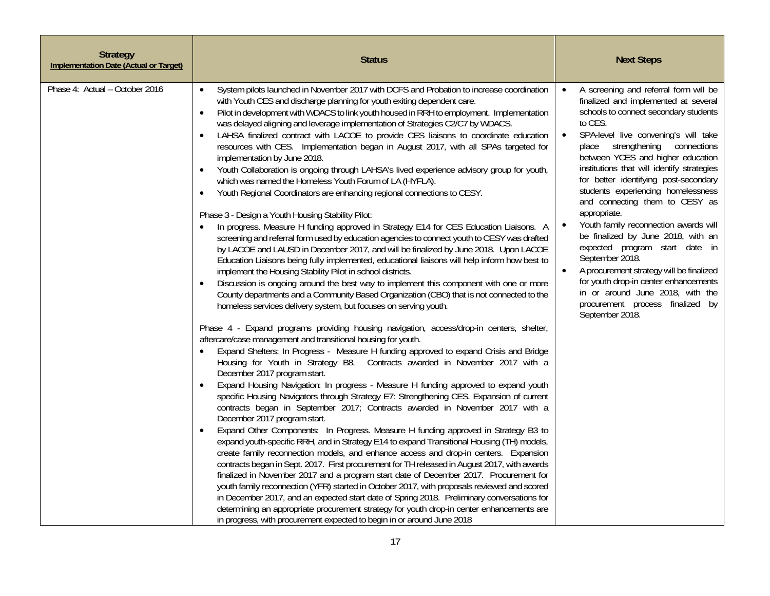| <b>Strategy</b><br><b>Implementation Date (Actual or Target)</b> | <b>Status</b>                                                                                                                                                                                                                                                                                                                                                                                                                                                                                                                                                                                                                                                                                                                                                                                                                                                                                                                                                                                                                                                                                                                                                                                                                                                                                                                                                                                                                                                                                                                                                                                                                                                                                                                                                                                                                                                                                                                                                                                                                                                                                                                                                                                                                                                                                                                                                                                                                                                                                                                                                                                                                                                                                                                                                                                                                                                                                                                                                                                                                                                                                                                                                                | <b>Next Steps</b>                                                                                                                                                                                                                                                                                                                                                                                                                                                                                                                                                                                                                                                                                                                                                              |
|------------------------------------------------------------------|------------------------------------------------------------------------------------------------------------------------------------------------------------------------------------------------------------------------------------------------------------------------------------------------------------------------------------------------------------------------------------------------------------------------------------------------------------------------------------------------------------------------------------------------------------------------------------------------------------------------------------------------------------------------------------------------------------------------------------------------------------------------------------------------------------------------------------------------------------------------------------------------------------------------------------------------------------------------------------------------------------------------------------------------------------------------------------------------------------------------------------------------------------------------------------------------------------------------------------------------------------------------------------------------------------------------------------------------------------------------------------------------------------------------------------------------------------------------------------------------------------------------------------------------------------------------------------------------------------------------------------------------------------------------------------------------------------------------------------------------------------------------------------------------------------------------------------------------------------------------------------------------------------------------------------------------------------------------------------------------------------------------------------------------------------------------------------------------------------------------------------------------------------------------------------------------------------------------------------------------------------------------------------------------------------------------------------------------------------------------------------------------------------------------------------------------------------------------------------------------------------------------------------------------------------------------------------------------------------------------------------------------------------------------------------------------------------------------------------------------------------------------------------------------------------------------------------------------------------------------------------------------------------------------------------------------------------------------------------------------------------------------------------------------------------------------------------------------------------------------------------------------------------------------------|--------------------------------------------------------------------------------------------------------------------------------------------------------------------------------------------------------------------------------------------------------------------------------------------------------------------------------------------------------------------------------------------------------------------------------------------------------------------------------------------------------------------------------------------------------------------------------------------------------------------------------------------------------------------------------------------------------------------------------------------------------------------------------|
| Phase 4: Actual - October 2016                                   | System pilots launched in November 2017 with DCFS and Probation to increase coordination<br>$\bullet$<br>with Youth CES and discharge planning for youth exiting dependent care.<br>Pilot in development with WDACS to link youth housed in RRH to employment. Implementation<br>$\bullet$<br>was delayed aligning and leverage implementation of Strategies C2/C7 by WDACS.<br>LAHSA finalized contract with LACOE to provide CES liaisons to coordinate education<br>$\bullet$<br>resources with CES. Implementation began in August 2017, with all SPAs targeted for<br>implementation by June 2018.<br>Youth Collaboration is ongoing through LAHSA's lived experience advisory group for youth,<br>$\bullet$<br>which was named the Homeless Youth Forum of LA (HYFLA).<br>Youth Regional Coordinators are enhancing regional connections to CESY.<br>$\bullet$<br>Phase 3 - Design a Youth Housing Stability Pilot:<br>In progress. Measure H funding approved in Strategy E14 for CES Education Liaisons. A<br>screening and referral form used by education agencies to connect youth to CESY was drafted<br>by LACOE and LAUSD in December 2017, and will be finalized by June 2018. Upon LACOE<br>Education Liaisons being fully implemented, educational liaisons will help inform how best to<br>implement the Housing Stability Pilot in school districts.<br>Discussion is ongoing around the best way to implement this component with one or more<br>$\bullet$<br>County departments and a Community Based Organization (CBO) that is not connected to the<br>homeless services delivery system, but focuses on serving youth.<br>Phase 4 - Expand programs providing housing navigation, access/drop-in centers, shelter,<br>aftercare/case management and transitional housing for youth.<br>Expand Shelters: In Progress - Measure H funding approved to expand Crisis and Bridge<br>Housing for Youth in Strategy B8. Contracts awarded in November 2017 with a<br>December 2017 program start.<br>Expand Housing Navigation: In progress - Measure H funding approved to expand youth<br>specific Housing Navigators through Strategy E7: Strengthening CES. Expansion of current<br>contracts began in September 2017; Contracts awarded in November 2017 with a<br>December 2017 program start.<br>Expand Other Components: In Progress. Measure H funding approved in Strategy B3 to<br>$\bullet$<br>expand youth-specific RRH, and in Strategy E14 to expand Transitional Housing (TH) models,<br>create family reconnection models, and enhance access and drop-in centers. Expansion<br>contracts began in Sept. 2017. First procurement for TH released in August 2017, with awards<br>finalized in November 2017 and a program start date of December 2017. Procurement for<br>youth family reconnection (YFR) started in October 2017, with proposals reviewed and scored<br>in December 2017, and an expected start date of Spring 2018. Preliminary conversations for<br>determining an appropriate procurement strategy for youth drop-in center enhancements are<br>in progress, with procurement expected to begin in or around June 2018 | A screening and referral form will be<br>$\bullet$<br>finalized and implemented at several<br>schools to connect secondary students<br>to CES.<br>SPA-level live convening's will take<br>$\bullet$<br>place strengthening connections<br>between YCES and higher education<br>institutions that will identify strategies<br>for better identifying post-secondary<br>students experiencing homelessness<br>and connecting them to CESY as<br>appropriate.<br>Youth family reconnection awards will<br>be finalized by June 2018, with an<br>expected program start date in<br>September 2018.<br>A procurement strategy will be finalized<br>for youth drop-in center enhancements<br>in or around June 2018, with the<br>procurement process finalized by<br>September 2018. |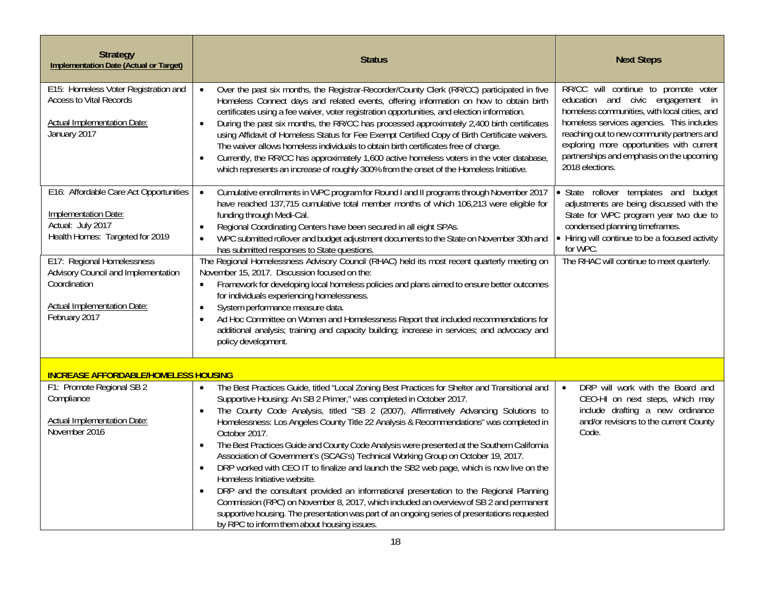| <b>Strategy</b><br><b>Implementation Date (Actual or Target)</b>                                                                         | <b>Status</b>                                                                                                                                                                                                                                                                                                                                                                                                                                                                                                                                                                                                                                                                                                                                                                                                                                                                                                                                                                                                                                                                                | <b>Next Steps</b>                                                                                                                                                                                                                                                                                                                 |
|------------------------------------------------------------------------------------------------------------------------------------------|----------------------------------------------------------------------------------------------------------------------------------------------------------------------------------------------------------------------------------------------------------------------------------------------------------------------------------------------------------------------------------------------------------------------------------------------------------------------------------------------------------------------------------------------------------------------------------------------------------------------------------------------------------------------------------------------------------------------------------------------------------------------------------------------------------------------------------------------------------------------------------------------------------------------------------------------------------------------------------------------------------------------------------------------------------------------------------------------|-----------------------------------------------------------------------------------------------------------------------------------------------------------------------------------------------------------------------------------------------------------------------------------------------------------------------------------|
| E15: Homeless Voter Registration and<br><b>Access to Vital Records</b><br><b>Actual Implementation Date:</b><br>January 2017             | Over the past six months, the Registrar-Recorder/County Clerk (RR/CC) participated in five<br>$\bullet$<br>Homeless Connect days and related events, offering information on how to obtain birth<br>certificates using a fee waiver, voter registration opportunities, and election information.<br>During the past six months, the RR/CC has processed approximately 2,400 birth certificates<br>$\bullet$<br>using Affidavit of Homeless Status for Fee Exempt Certified Copy of Birth Certificate waivers.<br>The waiver allows homeless individuals to obtain birth certificates free of charge.<br>Currently, the RR/CC has approximately 1,600 active homeless voters in the voter database,<br>$\bullet$<br>which represents an increase of roughly 300% from the onset of the Homeless Initiative.                                                                                                                                                                                                                                                                                   | RR/CC will continue to promote voter<br>education and civic engagement in<br>homeless communities, with local cities, and<br>homeless services agencies. This includes<br>reaching out to new community partners and<br>exploring more opportunities with current<br>partnerships and emphasis on the upcoming<br>2018 elections. |
| E16: Affordable Care Act Opportunities<br>Implementation Date:<br>Actual: July 2017<br>Health Homes: Targeted for 2019                   | Cumulative enrollments in WPC program for Round I and II programs through November 2017<br>$\bullet$<br>have reached 137,715 cumulative total member months of which 106,213 were eligible for<br>funding through Medi-Cal.<br>Regional Coordinating Centers have been secured in all eight SPAs.<br>$\bullet$<br>WPC submitted rollover and budget adjustment documents to the State on November 30th and<br>$\bullet$<br>has submitted responses to State questions.                                                                                                                                                                                                                                                                                                                                                                                                                                                                                                                                                                                                                       | · State rollover templates and budget<br>adjustments are being discussed with the<br>State for WPC program year two due to<br>condensed planning timeframes.<br>• Hiring will continue to be a focused activity<br>for WPC.                                                                                                       |
| E17: Regional Homelessness<br>Advisory Council and Implementation<br>Coordination<br><b>Actual Implementation Date:</b><br>February 2017 | The Regional Homelessness Advisory Council (RHAC) held its most recent quarterly meeting on<br>November 15, 2017. Discussion focused on the:<br>Framework for developing local homeless policies and plans aimed to ensure better outcomes<br>$\bullet$<br>for individuals experiencing homelessness.<br>System performance measure data.<br>$\bullet$<br>Ad Hoc Committee on Women and Homelessness Report that included recommendations for<br>$\bullet$<br>additional analysis; training and capacity building; increase in services; and advocacy and<br>policy development.                                                                                                                                                                                                                                                                                                                                                                                                                                                                                                             | The RHAC will continue to meet quarterly.                                                                                                                                                                                                                                                                                         |
| <b>INCREASE AFFORDABLE/HOMELESS HOUSING</b>                                                                                              |                                                                                                                                                                                                                                                                                                                                                                                                                                                                                                                                                                                                                                                                                                                                                                                                                                                                                                                                                                                                                                                                                              |                                                                                                                                                                                                                                                                                                                                   |
| F1: Promote Regional SB 2<br>Compliance<br><b>Actual Implementation Date:</b><br>November 2016                                           | The Best Practices Guide, titled "Local Zoning Best Practices for Shelter and Transitional and<br>$\bullet$<br>Supportive Housing: An SB 2 Primer," was completed in October 2017.<br>The County Code Analysis, titled "SB 2 (2007), Affirmatively Advancing Solutions to<br>$\bullet$<br>Homelessness: Los Angeles County Title 22 Analysis & Recommendations" was completed in<br>October 2017.<br>The Best Practices Guide and County Code Analysis were presented at the Southern California<br>$\bullet$<br>Association of Government's (SCAG's) Technical Working Group on October 19, 2017.<br>DRP worked with CEO IT to finalize and launch the SB2 web page, which is now live on the<br>$\bullet$<br>Homeless Initiative website.<br>DRP and the consultant provided an informational presentation to the Regional Planning<br>$\bullet$<br>Commission (RPC) on November 8, 2017, which included an overview of SB 2 and permanent<br>supportive housing. The presentation was part of an ongoing series of presentations requested<br>by RPC to inform them about housing issues. | DRP will work with the Board and<br>$\bullet$<br>CEO-HI on next steps, which may<br>include drafting a new ordinance<br>and/or revisions to the current County<br>Code.                                                                                                                                                           |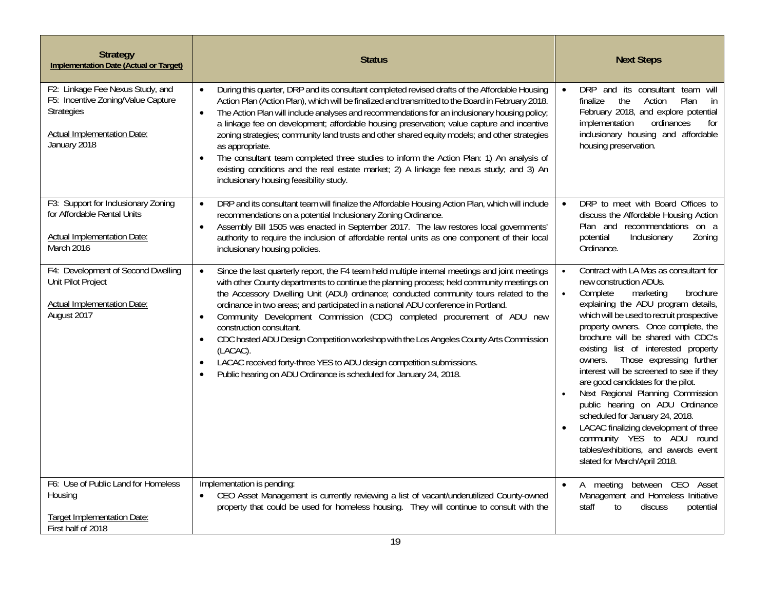| <b>Strategy</b><br><b>Implementation Date (Actual or Target)</b>                                                                                  | <b>Status</b>                                                                                                                                                                                                                                                                                                                                                                                                                                                                                                                                                                                                                                                                                                                                                                                             | <b>Next Steps</b>                                                                                                                                                                                                                                                                                                                                                                                                                                                                                                                                                                                                                                                                                              |
|---------------------------------------------------------------------------------------------------------------------------------------------------|-----------------------------------------------------------------------------------------------------------------------------------------------------------------------------------------------------------------------------------------------------------------------------------------------------------------------------------------------------------------------------------------------------------------------------------------------------------------------------------------------------------------------------------------------------------------------------------------------------------------------------------------------------------------------------------------------------------------------------------------------------------------------------------------------------------|----------------------------------------------------------------------------------------------------------------------------------------------------------------------------------------------------------------------------------------------------------------------------------------------------------------------------------------------------------------------------------------------------------------------------------------------------------------------------------------------------------------------------------------------------------------------------------------------------------------------------------------------------------------------------------------------------------------|
| F2: Linkage Fee Nexus Study, and<br>F5: Incentive Zoning/Value Capture<br><b>Strategies</b><br><b>Actual Implementation Date:</b><br>January 2018 | During this quarter, DRP and its consultant completed revised drafts of the Affordable Housing<br>$\bullet$<br>Action Plan (Action Plan), which will be finalized and transmitted to the Board in February 2018.<br>The Action Plan will include analyses and recommendations for an inclusionary housing policy;<br>$\bullet$<br>a linkage fee on development; affordable housing preservation; value capture and incentive<br>zoning strategies; community land trusts and other shared equity models; and other strategies<br>as appropriate.<br>The consultant team completed three studies to inform the Action Plan: 1) An analysis of<br>$\bullet$<br>existing conditions and the real estate market; 2) A linkage fee nexus study; and 3) An<br>inclusionary housing feasibility study.           | DRP and its consultant team<br>will<br>the<br>Action<br>Plan<br>in<br>finalize<br>February 2018, and explore potential<br>implementation<br>ordinances<br>for<br>inclusionary housing and affordable<br>housing preservation.                                                                                                                                                                                                                                                                                                                                                                                                                                                                                  |
| F3: Support for Inclusionary Zoning<br>for Affordable Rental Units<br><b>Actual Implementation Date:</b><br>March 2016                            | DRP and its consultant team will finalize the Affordable Housing Action Plan, which will include<br>$\bullet$<br>recommendations on a potential Inclusionary Zoning Ordinance.<br>Assembly Bill 1505 was enacted in September 2017. The law restores local governments'<br>$\bullet$<br>authority to require the inclusion of affordable rental units as one component of their local<br>inclusionary housing policies.                                                                                                                                                                                                                                                                                                                                                                                   | DRP to meet with Board Offices to<br>$\bullet$<br>discuss the Affordable Housing Action<br>Plan and recommendations on a<br>potential<br>Inclusionary<br>Zoning<br>Ordinance.                                                                                                                                                                                                                                                                                                                                                                                                                                                                                                                                  |
| F4: Development of Second Dwelling<br>Unit Pilot Project<br><b>Actual Implementation Date:</b><br>August 2017                                     | Since the last quarterly report, the F4 team held multiple internal meetings and joint meetings<br>$\bullet$<br>with other County departments to continue the planning process; held community meetings on<br>the Accessory Dwelling Unit (ADU) ordinance; conducted community tours related to the<br>ordinance in two areas; and participated in a national ADU conference in Portland.<br>Community Development Commission (CDC) completed procurement of ADU new<br>$\bullet$<br>construction consultant.<br>CDC hosted ADU Design Competition workshop with the Los Angeles County Arts Commission<br>$\bullet$<br>(LACAC).<br>LACAC received forty-three YES to ADU design competition submissions.<br>$\bullet$<br>Public hearing on ADU Ordinance is scheduled for January 24, 2018.<br>$\bullet$ | Contract with LA Mas as consultant for<br>new construction ADUs.<br>Complete<br>marketing<br>brochure<br>$\bullet$<br>explaining the ADU program details,<br>which will be used to recruit prospective<br>property owners. Once complete, the<br>brochure will be shared with CDC's<br>existing list of interested property<br>Those expressing further<br>owners.<br>interest will be screened to see if they<br>are good candidates for the pilot.<br>Next Regional Planning Commission<br>public hearing on ADU Ordinance<br>scheduled for January 24, 2018.<br>LACAC finalizing development of three<br>community YES to ADU round<br>tables/exhibitions, and awards event<br>slated for March/April 2018. |
| F6: Use of Public Land for Homeless<br>Housing<br><b>Target Implementation Date:</b><br>First half of 2018                                        | Implementation is pending:<br>CEO Asset Management is currently reviewing a list of vacant/underutilized County-owned<br>$\bullet$<br>property that could be used for homeless housing. They will continue to consult with the                                                                                                                                                                                                                                                                                                                                                                                                                                                                                                                                                                            | between CEO Asset<br>A meeting<br>$\bullet$<br>Management and Homeless Initiative<br>staff<br>to<br>discuss<br>potential                                                                                                                                                                                                                                                                                                                                                                                                                                                                                                                                                                                       |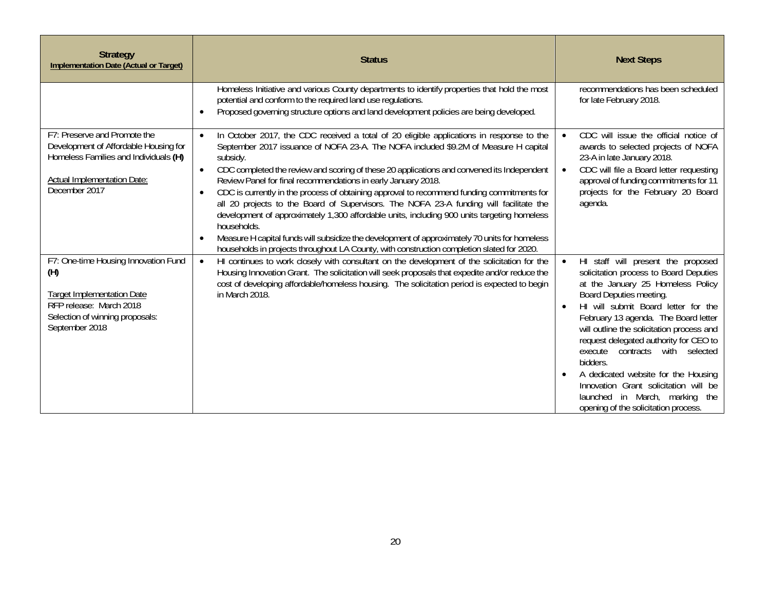| <b>Strategy</b><br><b>Implementation Date (Actual or Target)</b>                                                                                                 | <b>Status</b>                                                                                                                                                                                                                                                                                                                                                                                                                                                                                                                                                                                                                                                                                                                                                                                                                                                                             | <b>Next Steps</b>                                                                                                                                                                                                                                                                                                                                                                                                                                                                                                                                     |
|------------------------------------------------------------------------------------------------------------------------------------------------------------------|-------------------------------------------------------------------------------------------------------------------------------------------------------------------------------------------------------------------------------------------------------------------------------------------------------------------------------------------------------------------------------------------------------------------------------------------------------------------------------------------------------------------------------------------------------------------------------------------------------------------------------------------------------------------------------------------------------------------------------------------------------------------------------------------------------------------------------------------------------------------------------------------|-------------------------------------------------------------------------------------------------------------------------------------------------------------------------------------------------------------------------------------------------------------------------------------------------------------------------------------------------------------------------------------------------------------------------------------------------------------------------------------------------------------------------------------------------------|
|                                                                                                                                                                  | Homeless Initiative and various County departments to identify properties that hold the most<br>potential and conform to the required land use regulations.<br>Proposed governing structure options and land development policies are being developed.<br>$\bullet$                                                                                                                                                                                                                                                                                                                                                                                                                                                                                                                                                                                                                       | recommendations has been scheduled<br>for late February 2018.                                                                                                                                                                                                                                                                                                                                                                                                                                                                                         |
| F7: Preserve and Promote the<br>Development of Affordable Housing for<br>Homeless Families and Individuals (H)<br>Actual Implementation Date:<br>December 2017   | In October 2017, the CDC received a total of 20 eligible applications in response to the<br>September 2017 issuance of NOFA 23-A. The NOFA included \$9.2M of Measure H capital<br>subsidy.<br>CDC completed the review and scoring of these 20 applications and convened its Independent<br>$\bullet$<br>Review Panel for final recommendations in early January 2018.<br>CDC is currently in the process of obtaining approval to recommend funding commitments for<br>all 20 projects to the Board of Supervisors. The NOFA 23-A funding will facilitate the<br>development of approximately 1,300 affordable units, including 900 units targeting homeless<br>households.<br>Measure H capital funds will subsidize the development of approximately 70 units for homeless<br>$\bullet$<br>households in projects throughout LA County, with construction completion slated for 2020. | CDC will issue the official notice of<br>awards to selected projects of NOFA<br>23-A in late January 2018.<br>CDC will file a Board letter requesting<br>$\bullet$<br>approval of funding commitments for 11<br>projects for the February 20 Board<br>agenda.                                                                                                                                                                                                                                                                                         |
| F7: One-time Housing Innovation Fund<br>(H)<br><b>Target Implementation Date</b><br>RFP release: March 2018<br>Selection of winning proposals:<br>September 2018 | HI continues to work closely with consultant on the development of the solicitation for the<br>Housing Innovation Grant. The solicitation will seek proposals that expedite and/or reduce the<br>cost of developing affordable/homeless housing. The solicitation period is expected to begin<br>in March 2018.                                                                                                                                                                                                                                                                                                                                                                                                                                                                                                                                                                           | HI staff will present the proposed<br>$\bullet$<br>solicitation process to Board Deputies<br>at the January 25 Homeless Policy<br>Board Deputies meeting.<br>HI will submit Board letter for the<br>$\bullet$<br>February 13 agenda. The Board letter<br>will outline the solicitation process and<br>request delegated authority for CEO to<br>execute contracts with selected<br>bidders.<br>A dedicated website for the Housing<br>Innovation Grant solicitation will be<br>launched in March, marking the<br>opening of the solicitation process. |